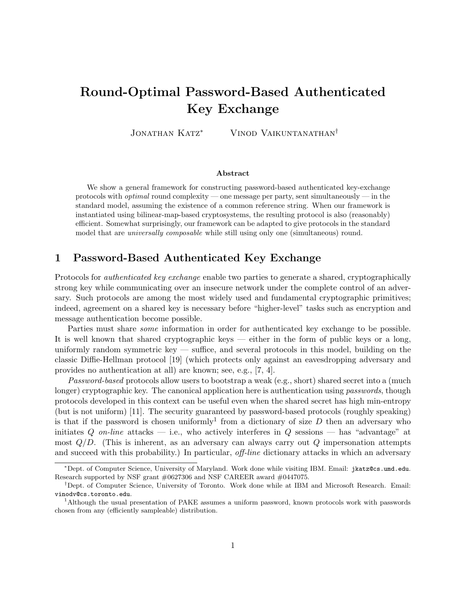# Round-Optimal Password-Based Authenticated Key Exchange

JONATHAN KATZ<sup>\*</sup> VINOD VAIKUNTANATHAN<sup>†</sup>

#### Abstract

We show a general framework for constructing password-based authenticated key-exchange protocols with *optimal* round complexity — one message per party, sent simultaneously — in the standard model, assuming the existence of a common reference string. When our framework is instantiated using bilinear-map-based cryptosystems, the resulting protocol is also (reasonably) efficient. Somewhat surprisingly, our framework can be adapted to give protocols in the standard model that are *universally composable* while still using only one (simultaneous) round.

### 1 Password-Based Authenticated Key Exchange

Protocols for *authenticated key exchange* enable two parties to generate a shared, cryptographically strong key while communicating over an insecure network under the complete control of an adversary. Such protocols are among the most widely used and fundamental cryptographic primitives; indeed, agreement on a shared key is necessary before "higher-level" tasks such as encryption and message authentication become possible.

Parties must share some information in order for authenticated key exchange to be possible. It is well known that shared cryptographic keys — either in the form of public keys or a long, uniformly random symmetric key — suffice, and several protocols in this model, building on the classic Diffie-Hellman protocol [19] (which protects only against an eavesdropping adversary and provides no authentication at all) are known; see, e.g., [7, 4].

Password-based protocols allow users to bootstrap a weak (e.g., short) shared secret into a (much longer) cryptographic key. The canonical application here is authentication using *passwords*, though protocols developed in this context can be useful even when the shared secret has high min-entropy (but is not uniform) [11]. The security guaranteed by password-based protocols (roughly speaking) is that if the password is chosen uniformly<sup>1</sup> from a dictionary of size  $D$  then an adversary who initiates Q on-line attacks — i.e., who actively interferes in  $Q$  sessions — has "advantage" at most  $Q/D$ . (This is inherent, as an adversary can always carry out  $Q$  impersonation attempts and succeed with this probability.) In particular, *off-line* dictionary attacks in which an adversary

<sup>∗</sup>Dept. of Computer Science, University of Maryland. Work done while visiting IBM. Email: jkatz@cs.umd.edu. Research supported by NSF grant #0627306 and NSF CAREER award #0447075.

<sup>†</sup>Dept. of Computer Science, University of Toronto. Work done while at IBM and Microsoft Research. Email: vinodv@cs.toronto.edu.

<sup>1</sup>Although the usual presentation of PAKE assumes a uniform password, known protocols work with passwords chosen from any (efficiently sampleable) distribution.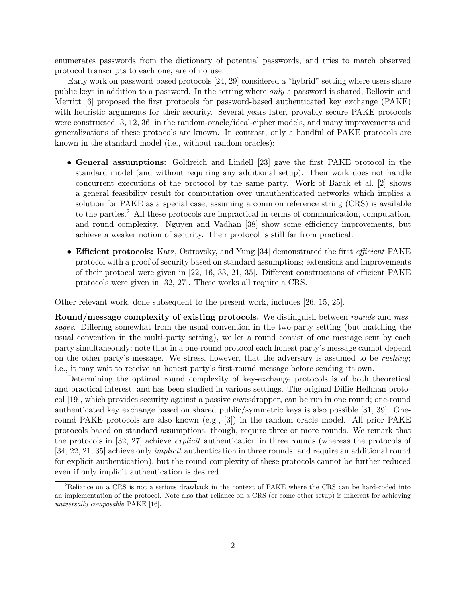enumerates passwords from the dictionary of potential passwords, and tries to match observed protocol transcripts to each one, are of no use.

Early work on password-based protocols [24, 29] considered a "hybrid" setting where users share public keys in addition to a password. In the setting where only a password is shared, Bellovin and Merritt [6] proposed the first protocols for password-based authenticated key exchange (PAKE) with heuristic arguments for their security. Several years later, provably secure PAKE protocols were constructed [3, 12, 36] in the random-oracle/ideal-cipher models, and many improvements and generalizations of these protocols are known. In contrast, only a handful of PAKE protocols are known in the standard model (i.e., without random oracles):

- General assumptions: Goldreich and Lindell [23] gave the first PAKE protocol in the standard model (and without requiring any additional setup). Their work does not handle concurrent executions of the protocol by the same party. Work of Barak et al. [2] shows a general feasibility result for computation over unauthenticated networks which implies a solution for PAKE as a special case, assuming a common reference string (CRS) is available to the parties.<sup>2</sup> All these protocols are impractical in terms of communication, computation, and round complexity. Nguyen and Vadhan [38] show some efficiency improvements, but achieve a weaker notion of security. Their protocol is still far from practical.
- Efficient protocols: Katz, Ostrovsky, and Yung [34] demonstrated the first *efficient* PAKE protocol with a proof of security based on standard assumptions; extensions and improvements of their protocol were given in [22, 16, 33, 21, 35]. Different constructions of efficient PAKE protocols were given in [32, 27]. These works all require a CRS.

Other relevant work, done subsequent to the present work, includes [26, 15, 25].

Round/message complexity of existing protocols. We distinguish between rounds and messages. Differing somewhat from the usual convention in the two-party setting (but matching the usual convention in the multi-party setting), we let a round consist of one message sent by each party simultaneously; note that in a one-round protocol each honest party's message cannot depend on the other party's message. We stress, however, that the adversary is assumed to be *rushing*; i.e., it may wait to receive an honest party's first-round message before sending its own.

Determining the optimal round complexity of key-exchange protocols is of both theoretical and practical interest, and has been studied in various settings. The original Diffie-Hellman protocol [19], which provides security against a passive eavesdropper, can be run in one round; one-round authenticated key exchange based on shared public/symmetric keys is also possible [31, 39]. Oneround PAKE protocols are also known (e.g., [3]) in the random oracle model. All prior PAKE protocols based on standard assumptions, though, require three or more rounds. We remark that the protocols in [32, 27] achieve explicit authentication in three rounds (whereas the protocols of [34, 22, 21, 35] achieve only *implicit* authentication in three rounds, and require an additional round for explicit authentication), but the round complexity of these protocols cannot be further reduced even if only implicit authentication is desired.

<sup>&</sup>lt;sup>2</sup>Reliance on a CRS is not a serious drawback in the context of PAKE where the CRS can be hard-coded into an implementation of the protocol. Note also that reliance on a CRS (or some other setup) is inherent for achieving universally composable PAKE [16].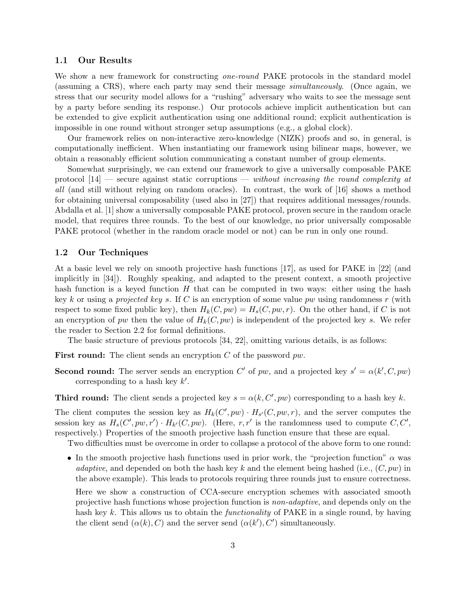### 1.1 Our Results

We show a new framework for constructing *one-round* PAKE protocols in the standard model (assuming a CRS), where each party may send their message simultaneously. (Once again, we stress that our security model allows for a "rushing" adversary who waits to see the message sent by a party before sending its response.) Our protocols achieve implicit authentication but can be extended to give explicit authentication using one additional round; explicit authentication is impossible in one round without stronger setup assumptions (e.g., a global clock).

Our framework relies on non-interactive zero-knowledge (NIZK) proofs and so, in general, is computationally inefficient. When instantiating our framework using bilinear maps, however, we obtain a reasonably efficient solution communicating a constant number of group elements.

Somewhat surprisingly, we can extend our framework to give a universally composable PAKE protocol  $[14]$  — secure against static corruptions — without increasing the round complexity at all (and still without relying on random oracles). In contrast, the work of [16] shows a method for obtaining universal composability (used also in [27]) that requires additional messages/rounds. Abdalla et al. [1] show a universally composable PAKE protocol, proven secure in the random oracle model, that requires three rounds. To the best of our knowledge, no prior universally composable PAKE protocol (whether in the random oracle model or not) can be run in only one round.

### 1.2 Our Techniques

At a basic level we rely on smooth projective hash functions [17], as used for PAKE in [22] (and implicitly in [34]). Roughly speaking, and adapted to the present context, a smooth projective hash function is a keyed function  $H$  that can be computed in two ways: either using the hash key k or using a projected key s. If C is an encryption of some value pw using randomness r (with respect to some fixed public key), then  $H_k(C, pw) = H_s(C, pw, r)$ . On the other hand, if C is not an encryption of pw then the value of  $H_k(C, pw)$  is independent of the projected key s. We refer the reader to Section 2.2 for formal definitions.

The basic structure of previous protocols [34, 22], omitting various details, is as follows:

**First round:** The client sends an encryption  $C$  of the password  $pw$ .

**Second round:** The server sends an encryption C' of pw, and a projected key  $s' = \alpha(k', C, pw)$ corresponding to a hash key  $k'$ .

**Third round:** The client sends a projected key  $s = \alpha(k, C', pw)$  corresponding to a hash key k.

The client computes the session key as  $H_k(C', pw) \cdot H_{s'}(C, pw, r)$ , and the server computes the session key as  $H_s(C', pw, r') \cdot H_{k'}(C, pw)$ . (Here,  $r, r'$  is the randomness used to compute  $C, C',$ respectively.) Properties of the smooth projective hash function ensure that these are equal.

Two difficulties must be overcome in order to collapse a protocol of the above form to one round:

• In the smooth projective hash functions used in prior work, the "projection function"  $\alpha$  was adaptive, and depended on both the hash key k and the element being hashed (i.e.,  $(C, pw)$  in the above example). This leads to protocols requiring three rounds just to ensure correctness.

Here we show a construction of CCA-secure encryption schemes with associated smooth projective hash functions whose projection function is non-adaptive, and depends only on the hash key k. This allows us to obtain the *functionality* of PAKE in a single round, by having the client send  $(\alpha(k), C)$  and the server send  $(\alpha(k'), C')$  simultaneously.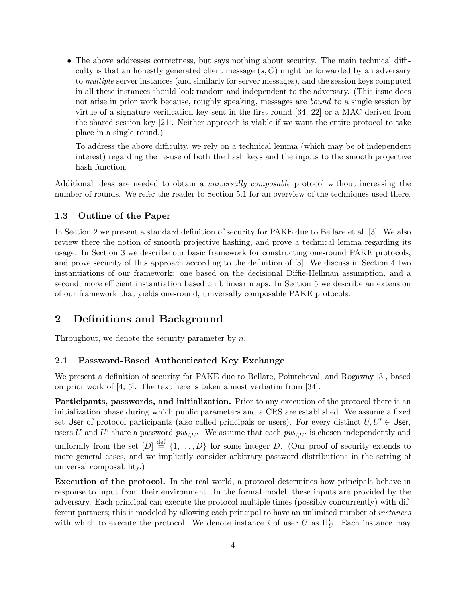• The above addresses correctness, but says nothing about security. The main technical difficulty is that an honestly generated client message  $(s, C)$  might be forwarded by an adversary to multiple server instances (and similarly for server messages), and the session keys computed in all these instances should look random and independent to the adversary. (This issue does not arise in prior work because, roughly speaking, messages are bound to a single session by virtue of a signature verification key sent in the first round [34, 22] or a MAC derived from the shared session key [21]. Neither approach is viable if we want the entire protocol to take place in a single round.)

To address the above difficulty, we rely on a technical lemma (which may be of independent interest) regarding the re-use of both the hash keys and the inputs to the smooth projective hash function.

Additional ideas are needed to obtain a universally composable protocol without increasing the number of rounds. We refer the reader to Section 5.1 for an overview of the techniques used there.

### 1.3 Outline of the Paper

In Section 2 we present a standard definition of security for PAKE due to Bellare et al. [3]. We also review there the notion of smooth projective hashing, and prove a technical lemma regarding its usage. In Section 3 we describe our basic framework for constructing one-round PAKE protocols, and prove security of this approach according to the definition of [3]. We discuss in Section 4 two instantiations of our framework: one based on the decisional Diffie-Hellman assumption, and a second, more efficient instantiation based on bilinear maps. In Section 5 we describe an extension of our framework that yields one-round, universally composable PAKE protocols.

# 2 Definitions and Background

Throughout, we denote the security parameter by n.

### 2.1 Password-Based Authenticated Key Exchange

We present a definition of security for PAKE due to Bellare, Pointcheval, and Rogaway [3], based on prior work of  $[4, 5]$ . The text here is taken almost verbatim from  $[34]$ .

Participants, passwords, and initialization. Prior to any execution of the protocol there is an initialization phase during which public parameters and a CRS are established. We assume a fixed set User of protocol participants (also called principals or users). For every distinct  $U, U' \in \mathsf{User}$ , users U and U' share a password  $pw_{U,U'}$ . We assume that each  $pw_{U,U'}$  is chosen independently and uniformly from the set  $[D] \stackrel{\text{def}}{=} \{1,\ldots,D\}$  for some integer D. (Our proof of security extends to more general cases, and we implicitly consider arbitrary password distributions in the setting of universal composability.)

Execution of the protocol. In the real world, a protocol determines how principals behave in response to input from their environment. In the formal model, these inputs are provided by the adversary. Each principal can execute the protocol multiple times (possibly concurrently) with different partners; this is modeled by allowing each principal to have an unlimited number of instances with which to execute the protocol. We denote instance i of user U as  $\Pi_U^i$ . Each instance may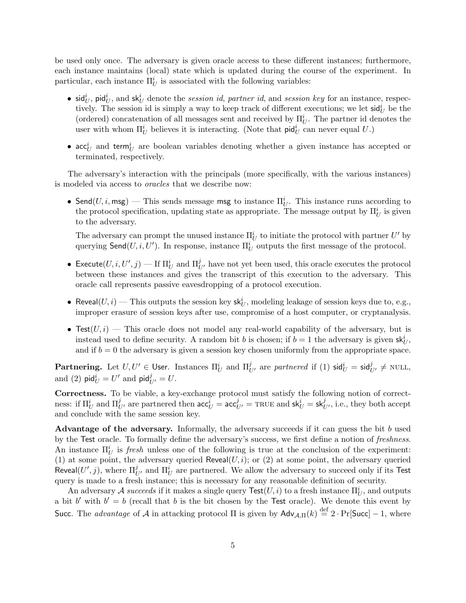be used only once. The adversary is given oracle access to these different instances; furthermore, each instance maintains (local) state which is updated during the course of the experiment. In particular, each instance  $\Pi_U^i$  is associated with the following variables:

- sid ${}^i_U$ , pid ${}^i_U$ , and sk ${}^i_U$  denote the *session id, partner id*, and *session key* for an instance, respectively. The session id is simply a way to keep track of different executions; we let  $\mathsf{sid}^i_U$  be the (ordered) concatenation of all messages sent and received by  $\Pi_U^i$ . The partner id denotes the user with whom  $\Pi_U^i$  believes it is interacting. (Note that  $\text{pid}_U^i$  can never equal U.)
- $acc_U^i$  and term<sup>i</sup><sub>U</sub> are boolean variables denoting whether a given instance has accepted or terminated, respectively.

The adversary's interaction with the principals (more specifically, with the various instances) is modeled via access to oracles that we describe now:

• Send $(U, i, \text{msg})$  – This sends message msg to instance  $\Pi_U^i$ . This instance runs according to the protocol specification, updating state as appropriate. The message output by  $\Pi_U^i$  is given to the adversary.

The adversary can prompt the unused instance  $\Pi_U^i$  to initiate the protocol with partner  $U'$  by querying  $\mathsf{Send}(U, i, U')$ . In response, instance  $\Pi^i_U$  outputs the first message of the protocol.

- Execute $(U, i, U', j)$  If  $\Pi_U^i$  and  $\Pi_{U'}^j$  have not yet been used, this oracle executes the protocol between these instances and gives the transcript of this execution to the adversary. This oracle call represents passive eavesdropping of a protocol execution.
- Reveal $(U, i)$  This outputs the session key  $\mathsf{sk}^i_U$ , modeling leakage of session keys due to, e.g., improper erasure of session keys after use, compromise of a host computer, or cryptanalysis.
- Test $(U, i)$  This oracle does not model any real-world capability of the adversary, but is instead used to define security. A random bit b is chosen; if  $b = 1$  the adversary is given  $\mathsf{sk}_U^i$ , and if  $b = 0$  the adversary is given a session key chosen uniformly from the appropriate space.

Partnering. Let  $U, U' \in \mathsf{User}$ . Instances  $\Pi_U^i$  and  $\Pi_{U'}^j$  are partnered if (1)  $\mathsf{sid}_U^i = \mathsf{sid}_{U'}^j \neq \mathsf{NULL}$ , and (2)  $\mathsf{pid}_U^i = U'$  and  $\mathsf{pid}_{U'}^j = U$ .

Correctness. To be viable, a key-exchange protocol must satisfy the following notion of correctness: if  $\Pi_U^i$  and  $\Pi_{U'}^j$  are partnered then  $\mathsf{acc}_U^i = \mathsf{acc}_{U'}^j = \textsc{true}$  and  $\mathsf{sk}_U^i = \mathsf{sk}_{U'}^j$ , i.e., they both accept and conclude with the same session key.

Advantage of the adversary. Informally, the adversary succeeds if it can guess the bit  $b$  used by the Test oracle. To formally define the adversary's success, we first define a notion of freshness. An instance  $\Pi_U^i$  is *fresh* unless one of the following is true at the conclusion of the experiment: (1) at some point, the adversary queried Reveal $(U, i)$ ; or (2) at some point, the adversary queried Reveal $(U', j)$ , where  $\Pi_{U'}^j$  and  $\Pi_U^i$  are partnered. We allow the adversary to succeed only if its Test query is made to a fresh instance; this is necessary for any reasonable definition of security.

An adversary  $\mathcal A$  succeeds if it makes a single query  $\textsf{Test}(U,i)$  to a fresh instance  $\Pi^i_U,$  and outputs a bit b' with  $b' = b$  (recall that b is the bit chosen by the Test oracle). We denote this event by Succ. The *advantage* of A in attacking protocol  $\Pi$  is given by  $\mathsf{Adv}_{\mathcal{A},\Pi}(k) \stackrel{\text{def}}{=} 2 \cdot \Pr[\mathsf{Succ}] - 1$ , where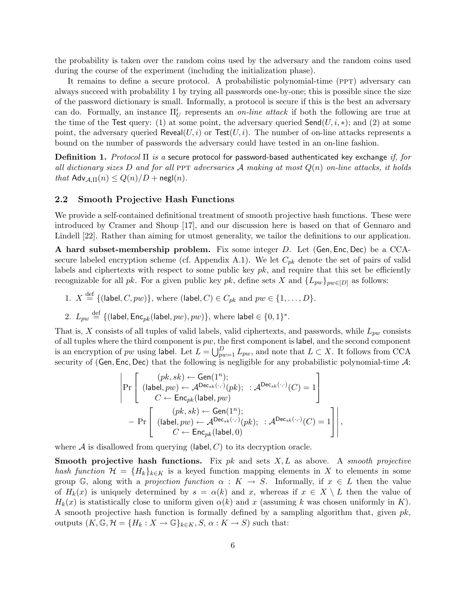the probability is taken over the random coins used by the adversary and the random coins used during the course of the experiment (including the initialization phase).

It remains to define a secure protocol. A probabilistic polynomial-time (PPT) adversary can always succeed with probability 1 by trying all passwords one-by-one; this is possible since the size of the password dictionary is small. Informally, a protocol is secure if this is the best an adversary can do. Formally, an instance  $\Pi_U^i$  represents an *on-line attack* if both the following are true at the time of the Test query: (1) at some point, the adversary queried  $\mathsf{Send}(U, i, *)$ ; and (2) at some point, the adversary queried Reveal( $U, i$ ) or Test( $U, i$ ). The number of on-line attacks represents a bound on the number of passwords the adversary could have tested in an on-line fashion.

**Definition 1.** Protocol  $\Pi$  is a secure protocol for password-based authenticated key exchange if, for all dictionary sizes D and for all PPT adversaries A making at most  $Q(n)$  on-line attacks, it holds that  $\mathsf{Adv}_{\mathcal{A},\Pi}(n) \leq Q(n)/D + \mathsf{negl}(n)$ .

### 2.2 Smooth Projective Hash Functions

We provide a self-contained definitional treatment of smooth projective hash functions. These were introduced by Cramer and Shoup [17], and our discussion here is based on that of Gennaro and Lindell [22]. Rather than aiming for utmost generality, we tailor the definitions to our application.

A hard subset-membership problem. Fix some integer D. Let (Gen, Enc, Dec) be a CCAsecure labeled encryption scheme (cf. Appendix A.1). We let  $C_{pk}$  denote the set of pairs of valid labels and ciphertexts with respect to some public key  $pk$ , and require that this set be efficiently recognizable for all pk. For a given public key pk, define sets X and  $\{L_{pw}\}_{pw\in[D]}$  as follows:

- 1.  $X \stackrel{\text{def}}{=} \{(\textsf{label}, C, pw)\},\text{ where }(\textsf{label}, C) \in C_{pk}\text{ and } pw \in \{1, \ldots, D\}.$
- 2.  $L_{pw} \stackrel{\text{def}}{=} \{(\textsf{label}, \textsf{Enc}_{pk}(\textsf{label}, pw), pw)\},$  where  $\textsf{label} \in \{0, 1\}^*.$

That is, X consists of all tuples of valid labels, valid ciphertexts, and passwords, while  $L_{pw}$  consists of all tuples where the third component is  $pw$ , the first component is label, and the second component of an encryption of pw using label. Let  $L = \bigcup_{n=1}^{D}$  $_{pw=1}^D L_{pw}$ , and note that  $L \subset X$ . It follows from CCA security of (Gen, Enc, Dec) that the following is negligible for any probabilistic polynomial-time A:

$$
\left|\Pr\left[\begin{array}{c}(pk, sk) \leftarrow \mathsf{Gen}(1^n); \\(\mathsf{label}, pw) \leftarrow \mathcal{A}^{\mathsf{Dec}_{sk}(\cdot, \cdot)}(pk); \hspace{0.1cm} : \mathcal{A}^{\mathsf{Dec}_{sk}(\cdot, \cdot)}(C) = 1 \right. \\ C \leftarrow \mathsf{Enc}_{pk}(\mathsf{label}, pw) \\ - \Pr\left[\begin{array}{c}(pk, sk) \leftarrow \mathsf{Gen}(1^n); \\(\mathsf{label}, pw) \leftarrow \mathcal{A}^{\mathsf{Dec}_{sk}(\cdot, \cdot)}(pk); \hspace{0.1cm} : \mathcal{A}^{\mathsf{Dec}_{sk}(\cdot, \cdot)}(C) = 1 \right. \\ C \leftarrow \mathsf{Enc}_{pk}(\mathsf{label}, 0)\end{array}\right]\right|,
$$

where  $A$  is disallowed from querying (label, C) to its decryption oracle.

**Smooth projective hash functions.** Fix  $pk$  and sets  $X, L$  as above. A *smooth projective* hash function  $\mathcal{H} = \{H_k\}_{k\in K}$  is a keyed function mapping elements in X to elements in some group G, along with a projection function  $\alpha : K \to S$ . Informally, if  $x \in L$  then the value of  $H_k(x)$  is uniquely determined by  $s = \alpha(k)$  and x, whereas if  $x \in X \setminus L$  then the value of  $H_k(x)$  is statistically close to uniform given  $\alpha(k)$  and x (assuming k was chosen uniformly in K). A smooth projective hash function is formally defined by a sampling algorithm that, given  $pk$ , outputs  $(K, \mathbb{G}, \mathcal{H} = \{H_k : X \to \mathbb{G}\}_{k \in K}, S, \alpha : K \to S)$  such that: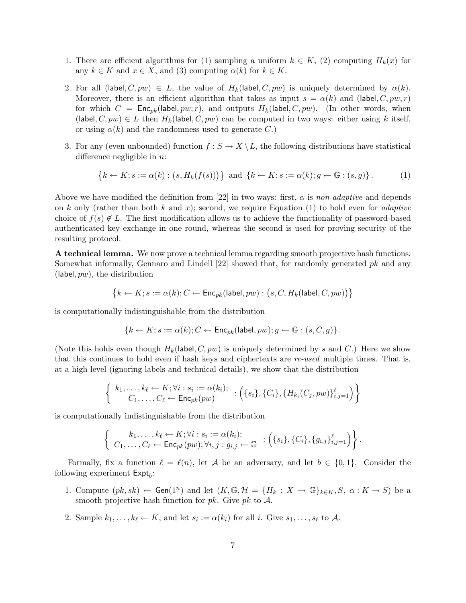- 1. There are efficient algorithms for (1) sampling a uniform  $k \in K$ , (2) computing  $H_k(x)$  for any  $k \in K$  and  $x \in X$ , and (3) computing  $\alpha(k)$  for  $k \in K$ .
- 2. For all (label,  $C, pw$ )  $\in L$ , the value of  $H_k$ (label,  $C, pw$ ) is uniquely determined by  $\alpha(k)$ . Moreover, there is an efficient algorithm that takes as input  $s = \alpha(k)$  and (label, C, pw, r) for which  $C = \textsf{Enc}_{pk}(\textsf{label}, pw; r)$ , and outputs  $H_k(\textsf{label}, C, pw)$ . (In other words, when (label,  $C, pw \in L$  then  $H_k$  (label,  $C, pw$ ) can be computed in two ways: either using k itself, or using  $\alpha(k)$  and the randomness used to generate C.)
- 3. For any (even unbounded) function  $f : S \to X \setminus L$ , the following distributions have statistical difference negligible in n:

$$
\{k \leftarrow K; s := \alpha(k) : (s, H_k(f(s)))\} \text{ and } \{k \leftarrow K; s := \alpha(k); g \leftarrow \mathbb{G} : (s, g)\}.
$$
 (1)

Above we have modified the definition from [22] in two ways: first,  $\alpha$  is non-adaptive and depends on k only (rather than both k and x); second, we require Equation (1) to hold even for *adaptive* choice of  $f(s) \notin L$ . The first modification allows us to achieve the functionality of password-based authenticated key exchange in one round, whereas the second is used for proving security of the resulting protocol.

A technical lemma. We now prove a technical lemma regarding smooth projective hash functions. Somewhat informally, Gennaro and Lindell  $[22]$  showed that, for randomly generated  $pk$  and any (label,  $pw$ ), the distribution

$$
\{k \leftarrow K; s := \alpha(k); C \leftarrow \mathsf{Enc}_{pk}(\mathsf{label}, pw) : (s, C, H_k(\mathsf{label}, C, pw))\}
$$

is computationally indistinguishable from the distribution

$$
\{k \leftarrow K; s := \alpha(k); C \leftarrow \mathsf{Enc}_{pk}(\mathsf{label}, pw); g \leftarrow \mathbb{G} : (s, C, g)\}.
$$

(Note this holds even though  $H_k$ (label, C, pw) is uniquely determined by s and C.) Here we show that this continues to hold even if hash keys and ciphertexts are re-used multiple times. That is, at a high level (ignoring labels and technical details), we show that the distribution

$$
\left\{\n\begin{array}{l}\nk_1,\ldots,k_\ell\leftarrow K;\forall i:s_i:=\alpha(k_i);\\\ C_1,\ldots,C_\ell\leftarrow \mathsf{Enc}_{pk}(pw)\n\end{array}\n:\n\left(\{s_i\},\{C_i\},\{H_{k_i}(C_j,pw)\}_{i,j=1}^\ell\right)\n\right\}
$$

is computationally indistinguishable from the distribution

$$
\left\{\n\begin{array}{l}\nk_1,\ldots,k_\ell\leftarrow K;\forall i:s_i:=\alpha(k_i);\\ C_1,\ldots,C_\ell\leftarrow \mathsf{Enc}_{pk}(pw);\forall i,j:s_{i,j}\leftarrow \mathbb{G} \quad:\big(\{s_i\},\{C_i\},\{g_{i,j}\}_{i,j=1}^\ell\big)\right.\big\}.\n\end{array}\n\right.
$$

Formally, fix a function  $\ell = \ell(n)$ , let A be an adversary, and let  $b \in \{0, 1\}$ . Consider the following experiment  $\textsf{Expt}_b$ :

- 1. Compute  $(pk, sk) \leftarrow Gen(1^n)$  and let  $(K, \mathbb{G}, \mathcal{H} = \{H_k : X \rightarrow \mathbb{G}\}_{k \in K}, S, \alpha : K \rightarrow S)$  be a smooth projective hash function for  $pk$ . Give  $pk$  to  $A$ .
- 2. Sample  $k_1, \ldots, k_\ell \leftarrow K$ , and let  $s_i := \alpha(k_i)$  for all i. Give  $s_1, \ldots, s_\ell$  to A.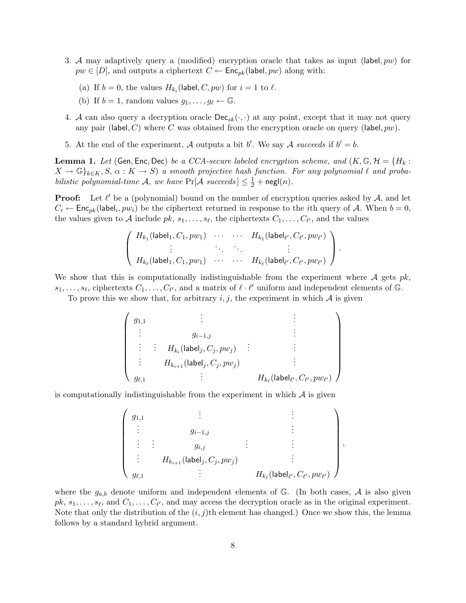- 3. A may adaptively query a (modified) encryption oracle that takes as input (label,  $pw$ ) for  $pw \in [D]$ , and outputs a ciphertext  $C \leftarrow \mathsf{Enc}_{pk}(\textsf{label}, pw)$  along with:
	- (a) If  $b = 0$ , the values  $H_{k_i}$ (label,  $C, pw$ ) for  $i = 1$  to  $\ell$ .
	- (b) If  $b = 1$ , random values  $g_1, \ldots, g_\ell \leftarrow \mathbb{G}$ .
- 4. A can also query a decryption oracle  $\text{Dec}_{sk}(\cdot, \cdot)$  at any point, except that it may not query any pair (label, C) where C was obtained from the encryption oracle on query (label,  $pw$ ).
- 5. At the end of the experiment, A outputs a bit b'. We say A succeeds if  $b' = b$ .

**Lemma 1.** Let (Gen, Enc, Dec) be a CCA-secure labeled encryption scheme, and  $(K, \mathbb{G}, \mathcal{H}) = \{H_k :$  $X \to \mathbb{G}$ <sub>k∈K</sub>, S,  $\alpha : K \to S$ ) a smooth projective hash function. For any polynomial  $\ell$  and probabilistic polynomial-time A, we have  $Pr[\mathcal{A} \text{ succeeds}] \leq \frac{1}{2} + \mathsf{negl}(n)$ .

**Proof:** Let  $\ell'$  be a (polynomial) bound on the number of encryption queries asked by  $\mathcal{A}$ , and let  $C_i \leftarrow \mathsf{Enc}_{pk}(\mathsf{label}_i, pw_i)$  be the ciphertext returned in response to the *i*th query of A. When  $b = 0$ , the values given to A include  $pk$ ,  $s_1, \ldots, s_\ell$ , the ciphertexts  $C_1, \ldots, C_{\ell'}$ , and the values

$$
\left(\begin{array}{ccc} H_{k_1}(\text{label}_1, C_1, pw_1) & \cdots & \cdots & H_{k_1}(\text{label}_{\ell'}, C_{\ell'}, pw_{\ell'}) \\ \vdots & \ddots & \ddots & \vdots \\ H_{k_{\ell}}(\text{label}_1, C_1, pw_1) & \cdots & \cdots & H_{k_{\ell}}(\text{label}_{\ell'}, C_{\ell'}, pw_{\ell'}) \end{array}\right).
$$

We show that this is computationally indistinguishable from the experiment where  $A$  gets  $pk$ ,  $s_1, \ldots, s_\ell$ , ciphertexts  $C_1, \ldots, C_{\ell'}$ , and a matrix of  $\ell \cdot \ell'$  uniform and independent elements of G.

To prove this we show that, for arbitrary  $i, j$ , the experiment in which  $\mathcal A$  is given

$$
\left(\begin{array}{ccccc}\ng_{1,1} & \vdots & & \vdots \\
g_{i-1,j} & & \vdots \\
\vdots & g_{i-1,j} & & \vdots \\
\vdots & H_{k_i}(\text{label}_j, C_j, pw_j) & \vdots \\
H_{k_{i+1}}(\text{label}_j, C_j, pw_j) & & \vdots \\
g_{\ell,1} & \vdots & H_{k_\ell}(\text{label}_{\ell'}, C_{\ell'}, pw_{\ell'})\n\end{array}\right)
$$

is computationally indistinguishable from the experiment in which  $A$  is given

$$
\left(\begin{array}{cccc}\ng_{1,1} & \vdots & \vdots & \vdots \\
g_{i-1,j} & \vdots & \vdots \\
\vdots & \vdots & g_{i,j} & \vdots \\
\vdots & H_{k_{i+1}}(\text{label}_j, C_j, pw_j) & \vdots \\
g_{\ell,1} & \vdots & H_{k_{\ell}}(\text{label}_{\ell'}, C_{\ell'}, pw_{\ell'})\n\end{array}\right)
$$

,

where the  $g_{a,b}$  denote uniform and independent elements of G. (In both cases, A is also given  $pk, s_1, \ldots, s_\ell$ , and  $C_1, \ldots, C_{\ell'}$ , and may access the decryption oracle as in the original experiment. Note that only the distribution of the  $(i, j)$ th element has changed.) Once we show this, the lemma follows by a standard hybrid argument.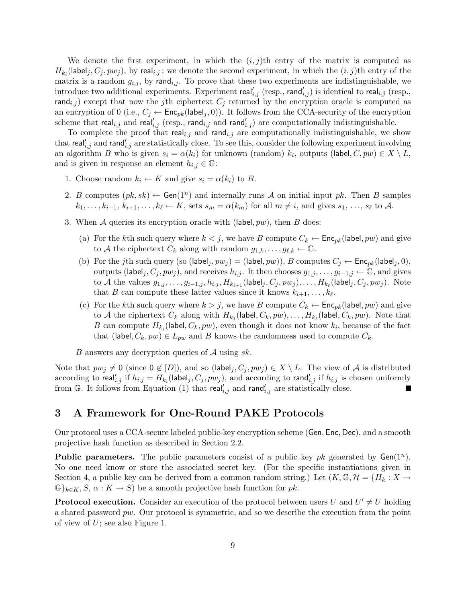We denote the first experiment, in which the  $(i, j)$ th entry of the matrix is computed as  $H_{k_i}(\mathsf{label}_j, C_j, pw_j),$  by real $_{i,j}$ ; we denote the second experiment, in which the  $(i,j)$ th entry of the matrix is a random  $g_{i,j}$ , by rand<sub>i,j</sub>. To prove that these two experiments are indistinguishable, we introduce two additional experiments. Experiment  $\mathsf{real}'_{i,j}$  (resp.,  $\mathsf{rand}'_{i,j}$ ) is identical to  $\mathsf{real}_{i,j}$  (resp., rand<sub>i,j</sub>) except that now the j<sup>th</sup> ciphertext  $C_j$  returned by the encryption oracle is computed as an encryption of 0 (i.e.,  $C_j \leftarrow \mathsf{Enc}_{pk}(\mathsf{label}_j, 0)$ ). It follows from the CCA-security of the encryption scheme that real<sub>i,j</sub> and real<sub>i,j</sub> (resp., rand<sub>i,j</sub> and rand<sub>i,j</sub>) are computationally indistinguishable.

To complete the proof that real<sub>i,j</sub> and rand<sub>i,j</sub> are computationally indistinguishable, we show that real<sup>'</sup><sub>i,j</sub> and rand<sup>'</sup><sub>i,j</sub> are statistically close. To see this, consider the following experiment involving an algorithm B who is given  $s_i = \alpha(k_i)$  for unknown (random)  $k_i$ , outputs (label,  $C, pw$ )  $\in X \setminus L$ , and is given in response an element  $h_{i,j} \in \mathbb{G}$ :

- 1. Choose random  $k_i \leftarrow K$  and give  $s_i = \alpha(k_i)$  to B.
- 2. B computes  $(pk, sk) \leftarrow Gen(1^n)$  and internally runs A on initial input pk. Then B samples  $k_1, \ldots, k_{i-1}, k_{i+1}, \ldots, k_\ell \leftarrow K$ , sets  $s_m = \alpha(k_m)$  for all  $m \neq i$ , and gives  $s_1, \ldots, s_\ell$  to A.
- 3. When  $A$  queries its encryption oracle with (label,  $pw$ ), then  $B$  does:
	- (a) For the kth such query where  $k < j$ , we have B compute  $C_k \leftarrow \text{Enc}_{pk}(\text{label}, pw)$  and give to A the ciphertext  $C_k$  along with random  $g_{1,k}, \ldots, g_{\ell,k} \leftarrow \mathbb{G}$ .
	- (b) For the jth such query (so (label<sub>j</sub>,  $pw_j$ ) = (label,  $pw$ )), B computes  $C_j \leftarrow \mathsf{Enc}_{pk}(\mathsf{label}_j, 0)$ , outputs (label<sub>j</sub>,  $C_j$ ,  $pw_j$ ), and receives  $h_{i,j}$ . It then chooses  $g_{1,j}, \ldots, g_{i-1,j} \leftarrow \mathbb{G}$ , and gives to  $\mathcal A$  the values  $g_{1,j},\ldots,g_{i-1,j},h_{i,j},H_{k_{i+1}}(\textsf{label}_j, C_j, pw_j),\ldots,H_{k_\ell}(\textsf{label}_j, C_j, pw_j).$  Note that B can compute these latter values since it knows  $k_{i+1}, \ldots, k_{\ell}$ .
	- (c) For the kth such query where  $k > j$ , we have B compute  $C_k \leftarrow \text{Enc}_{pk}(\text{label}, pw)$  and give to A the ciphertext  $C_k$  along with  $H_{k_1}(\textsf{label}, C_k, pw), \ldots, H_{k_\ell}(\textsf{label}, C_k, pw)$ . Note that B can compute  $H_{k_i}$  (label,  $C_k, pw$ ), even though it does not know  $k_i$ , because of the fact that (label,  $C_k, pw \in L_{pw}$  and B knows the randomness used to compute  $C_k$ .

B answers any decryption queries of  $A$  using sk.

Note that  $pw_j \neq 0$  (since  $0 \notin [D]$ ), and so (label<sub>j</sub>,  $C_j, pw_j \in X \setminus L$ . The view of A is distributed according to real'<sub>i,j</sub> if  $h_{i,j} = H_{k_i}(\textsf{label}_j, C_j, pw_j),$  and according to rand'<sub>i,j</sub> if  $h_{i,j}$  is chosen uniformly from G. It follows from Equation (1) that real<sup>'</sup><sub>i,j</sub> and rand<sup>'</sup><sub>i,j</sub> are statistically close.

# 3 A Framework for One-Round PAKE Protocols

Our protocol uses a CCA-secure labeled public-key encryption scheme (Gen, Enc, Dec), and a smooth projective hash function as described in Section 2.2.

**Public parameters.** The public parameters consist of a public key  $pk$  generated by  $Gen(1^n)$ . No one need know or store the associated secret key. (For the specific instantiations given in Section 4, a public key can be derived from a common random string.) Let  $(K, \mathbb{G}, \mathcal{H} = \{H_k : X \to$  $\mathbb{G}\}_{k\in K}, S, \alpha: K \to S$  be a smooth projective hash function for pk.

**Protocol execution.** Consider an execution of the protocol between users U and  $U' \neq U$  holding a shared password  $pw$ . Our protocol is symmetric, and so we describe the execution from the point of view of  $U$ ; see also Figure 1.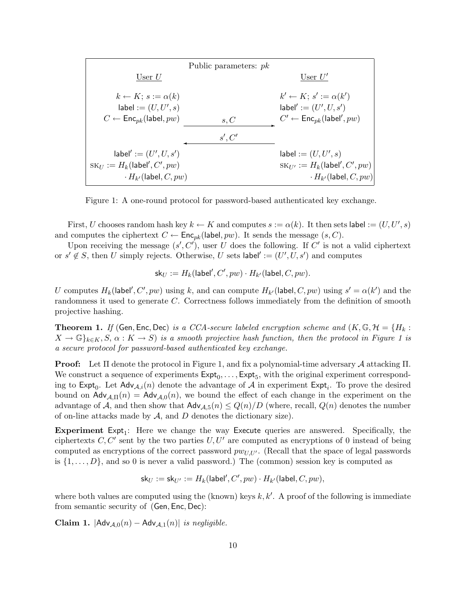|                                                       | Public parameters: $pk$ |                                                        |
|-------------------------------------------------------|-------------------------|--------------------------------------------------------|
| User $U$                                              |                         | User $U'$                                              |
| $k \leftarrow K$ ; $s := \alpha(k)$                   |                         | $k' \leftarrow K$ ; $s' := \alpha(k')$                 |
| $label := (U, U', s)$                                 |                         | $\mathsf{label}' := (U', U, s')$                       |
| $C \leftarrow \mathsf{Enc}_{pk}(\mathsf{label}, pw)$  | s, C                    | $C' \leftarrow \mathsf{Enc}_{pk}(\mathsf{label}', pw)$ |
|                                                       | s', C'                  |                                                        |
| $\mathsf{label}' := (U', U, s')$                      |                         | label := $(U, U', s)$                                  |
| $\operatorname{SK}_U := H_k(\textsf{label}', C', pw)$ |                         | $\text{SK}_{U'} := H_k(\text{label}', C', pw)$         |
| $\cdot$ $H_{k'}$ (label, $C, pw$ )                    |                         | $\cdot$ $H_{k'}$ (label, $C, pw$ )                     |

Figure 1: A one-round protocol for password-based authenticated key exchange.

First, U chooses random hash key  $k \leftarrow K$  and computes  $s := \alpha(k)$ . It then sets label  $:= (U, U', s)$ and computes the ciphertext  $C \leftarrow \mathsf{Enc}_{pk}(\textsf{label}, pw)$ . It sends the message  $(s, C)$ .

Upon receiving the message  $(s', C')$ , user U does the following. If C' is not a valid ciphertext or  $s' \notin S$ , then U simply rejects. Otherwise, U sets label' :=  $(U', U, s')$  and computes

$$
\mathsf{sk}_U := H_k(\mathsf{label}', C', pw) \cdot H_{k'}(\mathsf{label}, C, pw).
$$

U computes  $H_k$ (label', C', pw) using k, and can compute  $H_{k'}$ (label, C, pw) using  $s' = \alpha(k')$  and the randomness it used to generate C. Correctness follows immediately from the definition of smooth projective hashing.

**Theorem 1.** If (Gen, Enc, Dec) is a CCA-secure labeled encryption scheme and  $(K, \mathbb{G}, \mathcal{H}) = \{H_k :$  $X \to \mathbb{G}_{k \in K}$ ,  $S, \alpha : K \to S$  is a smooth projective hash function, then the protocol in Figure 1 is a secure protocol for password-based authenticated key exchange.

Proof: Let Π denote the protocol in Figure 1, and fix a polynomial-time adversary A attacking Π. We construct a sequence of experiments  $\textsf{Expt}_0, \ldots, \textsf{Expt}_5$ , with the original experiment corresponding to  $\textsf{Expt}_0$ . Let  $\textsf{Adv}_{\mathcal{A},i}(n)$  denote the advantage of  $\mathcal A$  in experiment  $\textsf{Expt}_i$ . To prove the desired bound on  $\text{Adv}_{A,\Pi}(n) = \text{Adv}_{A,0}(n)$ , we bound the effect of each change in the experiment on the advantage of A, and then show that  $\mathsf{Adv}_{\mathcal{A},5}(n) \leq Q(n)/D$  (where, recall,  $Q(n)$  denotes the number of on-line attacks made by  $A$ , and  $D$  denotes the dictionary size).

Experiment Expt<sub>1</sub>: Here we change the way Execute queries are answered. Specifically, the ciphertexts  $C, C'$  sent by the two parties  $U, U'$  are computed as encryptions of 0 instead of being computed as encryptions of the correct password  $pw_{UU'}$ . (Recall that the space of legal passwords is  $\{1, \ldots, D\}$ , and so 0 is never a valid password.) The (common) session key is computed as

$$
\mathsf{sk}_U := \mathsf{sk}_{U'} := H_k(\mathsf{label}', C', pw) \cdot H_{k'}(\mathsf{label}, C, pw),
$$

where both values are computed using the (known) keys  $k, k'$ . A proof of the following is immediate from semantic security of (Gen, Enc, Dec):

Claim 1.  $|$ Adv<sub>A,0</sub>(n) – Adv<sub>A,1</sub>(n)| is negligible.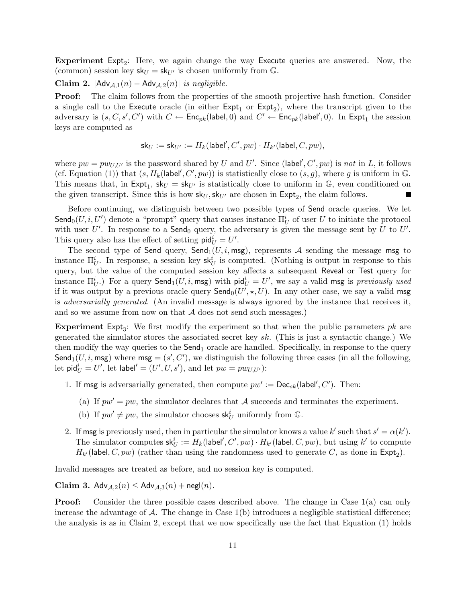Experiment  $Expt_2$ : Here, we again change the way Execute queries are answered. Now, the (common) session key  $sk_U = sk_{U'}$  is chosen uniformly from G.

Claim 2.  $|$ Adv<sub>A,1</sub> $(n)$  − Adv<sub>A,2</sub> $(n)|$  is negligible.

**Proof:** The claim follows from the properties of the smooth projective hash function. Consider a single call to the Execute oracle (in either  $Expt_1$  or  $Expt_2$ ), where the transcript given to the adversary is  $(s, C, s', C')$  with  $C \leftarrow \mathsf{Enc}_{pk}(\mathsf{label}, 0)$  and  $C' \leftarrow \mathsf{Enc}_{pk}(\mathsf{label}', 0)$ . In Expt<sub>1</sub> the session keys are computed as

$$
\mathsf{sk}_U := \mathsf{sk}_{U'} := H_k(\mathsf{label}', C', pw) \cdot H_{k'}(\mathsf{label}, C, pw),
$$

where  $pw = pw_{U,U'}$  is the password shared by U and U'. Since (label',  $C', pw$ ) is not in L, it follows (cf. Equation (1)) that  $(s, H_k(\text{label}', C', pw) )$  is statistically close to  $(s, g)$ , where g is uniform in G. This means that, in  $Expt_1$ ,  $sk_U = sk_{U'}$  is statistically close to uniform in  $\mathbb{G}$ , even conditioned on the given transcript. Since this is how  $sk_U, sk_{U'}$  are chosen in  $Expt_2$ , the claim follows.

Before continuing, we distinguish between two possible types of Send oracle queries. We let  $\mathsf{Send}_0(U, i, U')$  denote a "prompt" query that causes instance  $\Pi^i_U$  of user U to initiate the protocol with user U'. In response to a Send<sub>0</sub> query, the adversary is given the message sent by U to U'. This query also has the effect of setting  $\text{pid}_{U}^i = U'.$ 

The second type of Send query, Send<sub>1</sub> $(U, i, \text{msg})$ , represents A sending the message msg to instance  $\Pi_U^i$ . In response, a session key  $\mathsf{sk}_U^i$  is computed. (Nothing is output in response to this query, but the value of the computed session key affects a subsequent Reveal or Test query for instance  $\Pi^i_U$ .) For a query  $\mathsf{Send}_1(U,i,\mathsf{msg})$  with  $\mathsf{pid}^i_U = U',$  we say a valid  $\mathsf{msg}$  is previously used if it was output by a previous oracle query  $\mathsf{Send}_0(U',\star,U)$ . In any other case, we say a valid msg is adversarially generated. (An invalid message is always ignored by the instance that receives it, and so we assume from now on that  $A$  does not send such messages.)

Experiment Expt<sub>3</sub>: We first modify the experiment so that when the public parameters  $pk$  are generated the simulator stores the associated secret key  $sk$ . (This is just a syntactic change.) We then modify the way queries to the  $\text{Send}_1$  oracle are handled. Specifically, in response to the query Send<sub>1</sub>(U, i, msg) where  $\text{msg} = (s', C')$ , we distinguish the following three cases (in all the following, let  $\mathsf{pid}_U^i = U'$ , let label' =  $(U', U, s')$ , and let  $pw = pw_{U, U'}$ ):

- 1. If msg is adversarially generated, then compute  $pw' := \mathsf{Dec}_{sk}(\mathsf{label}', C')$ . Then:
	- (a) If  $pw' = pw$ , the simulator declares that A succeeds and terminates the experiment.
	- (b) If  $pw' \neq pw$ , the simulator chooses  $\mathsf{sk}_U^i$  uniformly from  $\mathbb{G}$ .
- 2. If msg is previously used, then in particular the simulator knows a value  $k'$  such that  $s' = \alpha(k')$ . The simulator computes  $\mathsf{sk}_U^i := H_k(\mathsf{label}\langle C', pw \rangle \cdot H_{k'}(\mathsf{label}\langle C, pw \rangle, \mathsf{but} \mathsf{ using } k' \mathsf{ to} \mathsf{ compute }$  $H_{k'}$ (label,  $C, pw$ ) (rather than using the randomness used to generate  $C$ , as done in  $Expt_2$ ).

Invalid messages are treated as before, and no session key is computed.

Claim 3.  $Adv_{A,2}(n) \le Adv_{A,3}(n) + negl(n)$ .

**Proof:** Consider the three possible cases described above. The change in Case 1(a) can only increase the advantage of  $\mathcal A$ . The change in Case 1(b) introduces a negligible statistical difference; the analysis is as in Claim 2, except that we now specifically use the fact that Equation (1) holds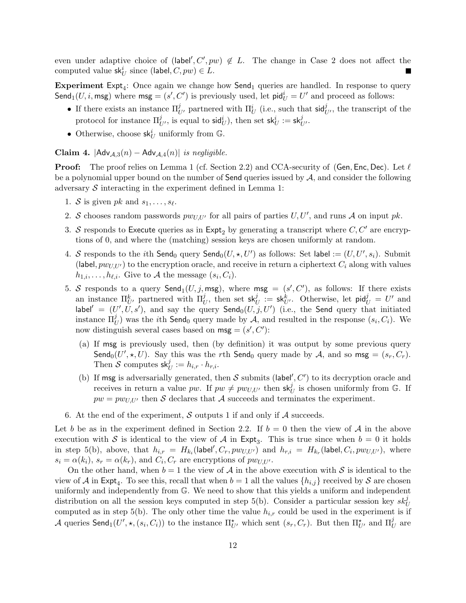even under adaptive choice of (label',  $C', pw$ )  $\notin L$ . The change in Case 2 does not affect the computed value  $\mathsf{sk}_U^i$  since (label,  $C, pw \in L$ .

Experiment  $Expt_4$ : Once again we change how  $Send_1$  queries are handled. In response to query Send $_1(U, i, \text{msg})$  where  $\text{msg} = (s', C')$  is previously used, let  $\text{pid}_U^i = U'$  and proceed as follows:

- If there exists an instance  $\Pi_{U'}^{j}$  partnered with  $\Pi_{U}^{i}$  (i.e., such that  $\mathsf{sid}_{U'}^{j}$ , the transcript of the protocol for instance  $\Pi_{U'}^j$ , is equal to  $\mathsf{sid}_U^i$ , then set  $\mathsf{sk}_U^i := \mathsf{sk}_{U'}^j$ .
- Otherwise, choose  $\mathsf{sk}_U^i$  uniformly from  $\mathbb{G}$ .

Claim 4.  $|Adv_{A,3}(n) - Adv_{A,4}(n)|$  is negligible.

**Proof:** The proof relies on Lemma 1 (cf. Section 2.2) and CCA-security of (Gen, Enc, Dec). Let  $\ell$ be a polynomial upper bound on the number of Send queries issued by  $A$ , and consider the following adversary  $S$  interacting in the experiment defined in Lemma 1:

- 1. S is given pk and  $s_1, \ldots, s_\ell$ .
- 2. S chooses random passwords  $pw_{U,U'}$  for all pairs of parties  $U, U'$ , and runs A on input pk.
- 3. S responds to Execute queries as in Expt<sub>2</sub> by generating a transcript where  $C, C'$  are encryptions of 0, and where the (matching) session keys are chosen uniformly at random.
- 4. S responds to the *i*th  $\mathsf{Send}_0$  query  $\mathsf{Send}_0(U,\star,U')$  as follows: Set label :=  $(U,U',s_i)$ . Submit (label,  $pw_{U,U'}$ ) to the encryption oracle, and receive in return a ciphertext  $C_i$  along with values  $h_{1,i},\ldots,h_{\ell,i}$ . Give to A the message  $(s_i, C_i)$ .
- 5. S responds to a query  $\mathsf{Send}_1(U, j, \mathsf{msg})$ , where  $\mathsf{msg} = (s', C')$ , as follows: If there exists an instance  $\Pi_{U'}^k$  partnered with  $\Pi_{U'}^j$ , then set  $sk_U^j := sk_{U'}^k$ . Otherwise, let pid $_U^j = U'$  and label' =  $(U',\tilde{U},s')$ , and say the query  $\mathsf{Send}_0(U,j,U')$  (i.e., the Send query that initiated instance  $\Pi_U^j$  was the *i*th Send<sub>0</sub> query made by A, and resulted in the response  $(s_i, C_i)$ . We now distinguish several cases based on  $\mathsf{msg} = (s', C')$ :
	- (a) If msg is previously used, then (by definition) it was output by some previous query Send<sub>0</sub>(U',  $\star$ , U). Say this was the rth Send<sub>0</sub> query made by A, and so msg =  $(s_r, C_r)$ . Then S computes  $\mathsf{sk}_U^j := h_{i,r} \cdot h_{r,i}.$
	- (b) If msg is adversarially generated, then S submits (label',  $C'$ ) to its decryption oracle and receives in return a value pw. If  $pw \neq pw_{U,U'}$  then  $\textsf{sk}_{U}^{j}$  is chosen uniformly from G. If  $pw = pw_{U,U'}$  then S declares that A succeeds and terminates the experiment.
- 6. At the end of the experiment, S outputs 1 if and only if A succeeds.

Let b be as in the experiment defined in Section 2.2. If  $b = 0$  then the view of A in the above execution with S is identical to the view of A in  $Expt_3$ . This is true since when  $b = 0$  it holds in step 5(b), above, that  $h_{i,r} = H_{k_i}(\text{label}, C_r, pw_{U,U'})$  and  $h_{r,i} = H_{k_r}(\text{label}, C_i, pw_{U,U'})$ , where  $s_i = \alpha(k_i)$ ,  $s_r = \alpha(k_r)$ , and  $C_i$ ,  $C_r$  are encryptions of  $pw_{U,U'}$ .

On the other hand, when  $b = 1$  the view of A in the above execution with S is identical to the view of A in Expt<sub>4</sub>. To see this, recall that when  $b = 1$  all the values  $\{h_{i,j}\}$  received by S are chosen uniformly and independently from G. We need to show that this yields a uniform and independent distribution on all the session keys computed in step 5(b). Consider a particular session key  $sk_U^j$ computed as in step 5(b). The only other time the value  $h_{i,r}$  could be used in the experiment is if A queries Send $_1(U',\star,(s_i,C_i))$  to the instance  $\Pi_{U'}^{\star}$  which sent  $(s_r,C_r)$ . But then  $\Pi_{U'}^{\star}$  and  $\Pi_{U}^{j}$  are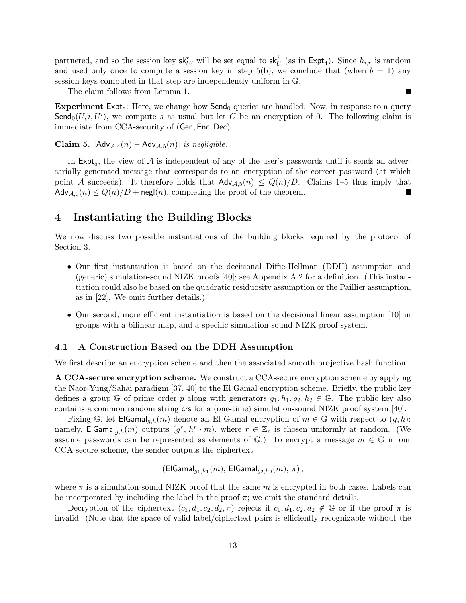partnered, and so the session key  $sk_{U'}^*$  will be set equal to  $sk_{U}^j$  (as in  $Expt_4$ ). Since  $h_{i,r}$  is random and used only once to compute a session key in step  $5(b)$ , we conclude that (when  $b = 1$ ) any session keys computed in that step are independently uniform in G.

The claim follows from Lemma 1.

Experiment  $Expt_5$ : Here, we change how  $Send_0$  queries are handled. Now, in response to a query Send<sub>0</sub> $(U, i, U')$ , we compute s as usual but let C be an encryption of 0. The following claim is immediate from CCA-security of (Gen, Enc, Dec).

Claim 5.  $|{\sf Adv}_{A,4}(n) - {\sf Adv}_{A,5}(n)|$  is negligible.

In  $Expt_5$ , the view of A is independent of any of the user's passwords until it sends an adversarially generated message that corresponds to an encryption of the correct password (at which point A succeeds). It therefore holds that  $\mathsf{Adv}_{A.5}(n) \leq Q(n)/D$ . Claims 1–5 thus imply that  $\mathsf{Adv}_{\mathcal{A},0}(n) \leq Q(n)/D + \mathsf{negl}(n)$ , completing the proof of the theorem.

# 4 Instantiating the Building Blocks

We now discuss two possible instantiations of the building blocks required by the protocol of Section 3.

- Our first instantiation is based on the decisional Diffie-Hellman (DDH) assumption and (generic) simulation-sound NIZK proofs [40]; see Appendix A.2 for a definition. (This instantiation could also be based on the quadratic residuosity assumption or the Paillier assumption, as in [22]. We omit further details.)
- Our second, more efficient instantiation is based on the decisional linear assumption [10] in groups with a bilinear map, and a specific simulation-sound NIZK proof system.

### 4.1 A Construction Based on the DDH Assumption

We first describe an encryption scheme and then the associated smooth projective hash function.

A CCA-secure encryption scheme. We construct a CCA-secure encryption scheme by applying the Naor-Yung/Sahai paradigm [37, 40] to the El Gamal encryption scheme. Briefly, the public key defines a group G of prime order p along with generators  $g_1, h_1, g_2, h_2 \in \mathbb{G}$ . The public key also contains a common random string crs for a (one-time) simulation-sound NIZK proof system [40].

Fixing G, let  $\textsf{ElGamal}_{a,h}(m)$  denote an El Gamal encryption of  $m \in \mathbb{G}$  with respect to  $(g, h)$ ; namely, ElGamal<sub>g,h</sub>(m) outputs  $(g^r, h^r \cdot m)$ , where  $r \in \mathbb{Z}_p$  is chosen uniformly at random. (We assume passwords can be represented as elements of  $\mathbb{G}$ .) To encrypt a message  $m \in \mathbb{G}$  in our CCA-secure scheme, the sender outputs the ciphertext

$$
(\text{ElGamal}_{g_1,h_1}(m),\,\text{ElGamal}_{g_2,h_2}(m),\,\pi)\,,
$$

where  $\pi$  is a simulation-sound NIZK proof that the same  $m$  is encrypted in both cases. Labels can be incorporated by including the label in the proof  $\pi$ ; we omit the standard details.

Decryption of the ciphertext  $(c_1, d_1, c_2, d_2, \pi)$  rejects if  $c_1, d_1, c_2, d_2 \notin \mathbb{G}$  or if the proof  $\pi$  is invalid. (Note that the space of valid label/ciphertext pairs is efficiently recognizable without the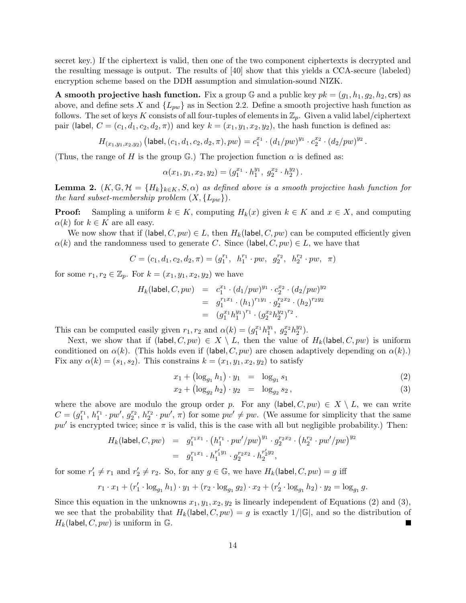secret key.) If the ciphertext is valid, then one of the two component ciphertexts is decrypted and the resulting message is output. The results of [40] show that this yields a CCA-secure (labeled) encryption scheme based on the DDH assumption and simulation-sound NIZK.

**A** smooth projective hash function. Fix a group G and a public key  $pk = (g_1, h_1, g_2, h_2, \text{crs})$  as above, and define sets X and  $\{L_{pw}\}\$ as in Section 2.2. Define a smooth projective hash function as follows. The set of keys K consists of all four-tuples of elements in  $\mathbb{Z}_p$ . Given a valid label/ciphertext pair (label,  $C = (c_1, d_1, c_2, d_2, \pi)$ ) and key  $k = (x_1, y_1, x_2, y_2)$ , the hash function is defined as:

$$
H_{(x_1,y_1,x_2,y_2)} (\textsf{label}, (c_1,d_1,c_2,d_2,\pi), pw) = c_1^{x_1} \cdot (d_1/pw)^{y_1} \cdot c_2^{x_2} \cdot (d_2/pw)^{y_2}.
$$

(Thus, the range of H is the group G.) The projection function  $\alpha$  is defined as:

$$
\alpha(x_1, y_1, x_2, y_2) = (g_1^{x_1} \cdot h_1^{y_1}, g_2^{x_2} \cdot h_2^{y_2}).
$$

**Lemma 2.**  $(K, \mathbb{G}, \mathcal{H}) = \{H_k\}_{k \in K}$ ,  $(S, \alpha)$  as defined above is a smooth projective hash function for the hard subset-membership problem  $(X, \{L_{nw}\})$ .

**Proof:** Sampling a uniform  $k \in K$ , computing  $H_k(x)$  given  $k \in K$  and  $x \in X$ , and computing  $\alpha(k)$  for  $k \in K$  are all easy.

We now show that if (label,  $C, pw \in L$ , then  $H_k$ (label,  $C, pw$ ) can be computed efficiently given  $\alpha(k)$  and the randomness used to generate C. Since (label,  $C, pw \in L$ , we have that

$$
C = (c_1, d_1, c_2, d_2, \pi) = (g_1^{r_1}, h_1^{r_1} \cdot pw, g_2^{r_2}, h_2^{r_2} \cdot pw, \pi)
$$

for some  $r_1, r_2 \in \mathbb{Z}_p$ . For  $k = (x_1, y_1, x_2, y_2)$  we have

$$
H_k(\text{label}, C, pw) = c_1^{x_1} \cdot (d_1/pw)^{y_1} \cdot c_2^{x_2} \cdot (d_2/pw)^{y_2}
$$
  
=  $g_1^{r_1x_1} \cdot (h_1)^{r_1y_1} \cdot g_2^{r_2x_2} \cdot (h_2)^{r_2y_2}$   
=  $(g_1^{x_1}h_1^{y_1})^{r_1} \cdot (g_2^{x_2}h_2^{y_2})^{r_2}$ .

This can be computed easily given  $r_1, r_2$  and  $\alpha(k) = (g_1^{x_1} h_1^{y_1}, g_2^{x_2} h_2^{y_2}).$ 

Next, we show that if  $(\textsf{label}, C, pw) \in X \setminus L$ , then the value of  $H_k(\textsf{label}, C, pw)$  is uniform conditioned on  $\alpha(k)$ . (This holds even if (label, C, pw) are chosen adaptively depending on  $\alpha(k)$ .) Fix any  $\alpha(k) = (s_1, s_2)$ . This constrains  $k = (x_1, y_1, x_2, y_2)$  to satisfy

$$
x_1 + (\log_{g_1} h_1) \cdot y_1 = \log_{g_1} s_1 \tag{2}
$$

$$
x_2 + (\log_{g_2} h_2) \cdot y_2 = \log_{g_2} s_2, \tag{3}
$$

where the above are modulo the group order p. For any (label,  $C, pw$ )  $\in X \setminus L$ , we can write  $C = (g_1^{r_1}, h_1^{r_1} \cdot pw', g_2^{r_2}, h_2^{r_2} \cdot pw', \pi)$  for some  $pw' \neq pw$ . (We assume for simplicity that the same pw' is encrypted twice; since  $\pi$  is valid, this is the case with all but negligible probability.) Then:

$$
H_k(\text{label}, C, pw) = g_1^{r_1 x_1} \cdot (h_1^{r_1} \cdot pw'/pw)^{y_1} \cdot g_2^{r_2 x_2} \cdot (h_2^{r_2} \cdot pw'/pw)^{y_2}
$$
  
=  $g_1^{r_1 x_1} \cdot h_1^{r'_1 y_1} \cdot g_2^{r_2 x_2} \cdot h_2^{r'_2 y_2},$ 

for some  $r'_1 \neq r_1$  and  $r'_2 \neq r_2$ . So, for any  $g \in \mathbb{G}$ , we have  $H_k(\text{label}, C, pw) = g$  iff

$$
r_1 \cdot x_1 + (r'_1 \cdot \log_{g_1} h_1) \cdot y_1 + (r_2 \cdot \log_{g_1} g_2) \cdot x_2 + (r'_2 \cdot \log_{g_1} h_2) \cdot y_2 = \log_{g_1} g.
$$

Since this equation in the unknowns  $x_1, y_1, x_2, y_2$  is linearly independent of Equations (2) and (3), we see that the probability that  $H_k(\text{label}, C, pw) = g$  is exactly  $1/|\mathbb{G}|$ , and so the distribution of  $H_k$ (label,  $C, pw$ ) is uniform in G. ш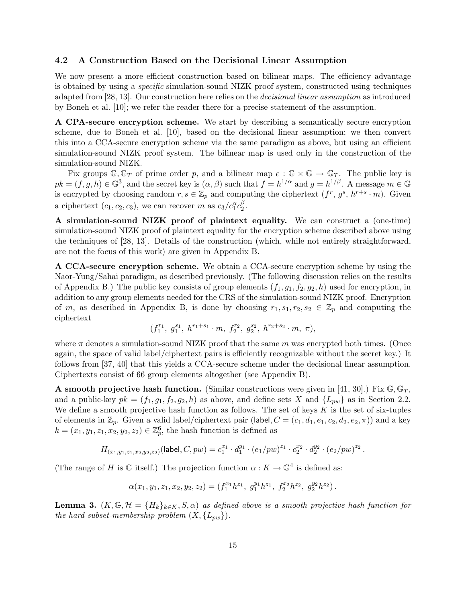### 4.2 A Construction Based on the Decisional Linear Assumption

We now present a more efficient construction based on bilinear maps. The efficiency advantage is obtained by using a specific simulation-sound NIZK proof system, constructed using techniques adapted from [28, 13]. Our construction here relies on the decisional linear assumption as introduced by Boneh et al. [10]; we refer the reader there for a precise statement of the assumption.

A CPA-secure encryption scheme. We start by describing a semantically secure encryption scheme, due to Boneh et al. [10], based on the decisional linear assumption; we then convert this into a CCA-secure encryption scheme via the same paradigm as above, but using an efficient simulation-sound NIZK proof system. The bilinear map is used only in the construction of the simulation-sound NIZK.

Fix groups  $\mathbb{G}, \mathbb{G}_T$  of prime order p, and a bilinear map  $e : \mathbb{G} \times \mathbb{G} \to \mathbb{G}_T$ . The public key is  $pk = (f, g, h) \in \mathbb{G}^3$ , and the secret key is  $(\alpha, \beta)$  such that  $f = h^{1/\alpha}$  and  $g = h^{1/\beta}$ . A message  $m \in \mathbb{G}$ is encrypted by choosing random  $r, s \in \mathbb{Z}_p$  and computing the ciphertext  $(f^r, g^s, h^{r+s} \cdot m)$ . Given a ciphertext  $(c_1, c_2, c_3)$ , we can recover m as  $c_3/c_1^{\alpha}c_2^{\beta}$  $\frac{\rho}{2}$ .

A simulation-sound NIZK proof of plaintext equality. We can construct a (one-time) simulation-sound NIZK proof of plaintext equality for the encryption scheme described above using the techniques of [28, 13]. Details of the construction (which, while not entirely straightforward, are not the focus of this work) are given in Appendix B.

A CCA-secure encryption scheme. We obtain a CCA-secure encryption scheme by using the Naor-Yung/Sahai paradigm, as described previously. (The following discussion relies on the results of Appendix B.) The public key consists of group elements  $(f_1, g_1, f_2, g_2, h)$  used for encryption, in addition to any group elements needed for the CRS of the simulation-sound NIZK proof. Encryption of m, as described in Appendix B, is done by choosing  $r_1, s_1, r_2, s_2 \in \mathbb{Z}_p$  and computing the ciphertext

$$
(f_1^{r_1},\ g_1^{s_1},\ h^{r_1+s_1}\cdot m,\ f_2^{r_2},\ g_2^{s_2},\ h^{r_2+s_2}\cdot m,\ \pi),
$$

where  $\pi$  denotes a simulation-sound NIZK proof that the same m was encrypted both times. (Once again, the space of valid label/ciphertext pairs is efficiently recognizable without the secret key.) It follows from [37, 40] that this yields a CCA-secure scheme under the decisional linear assumption. Ciphertexts consist of 66 group elements altogether (see Appendix B).

A smooth projective hash function. (Similar constructions were given in [41, 30].) Fix  $\mathbb{G}, \mathbb{G}_T$ , and a public-key  $pk = (f_1, g_1, f_2, g_2, h)$  as above, and define sets X and  $\{L_{pw}\}\$ as in Section 2.2. We define a smooth projective hash function as follows. The set of keys  $K$  is the set of six-tuples of elements in  $\mathbb{Z}_p$ . Given a valid label/ciphertext pair (label,  $C = (c_1, d_1, e_1, c_2, d_2, e_2, \pi)$ ) and a key  $k = (x_1, y_1, z_1, x_2, y_2, z_2) \in \mathbb{Z}_p^6$ , the hash function is defined as

$$
H_{(x_1,y_1,z_1,x_2,y_2,z_2)}(\text{label},C,pw)=c_1^{x_1}\cdot d_1^{y_1}\cdot (e_1/pw)^{z_1}\cdot c_2^{x_2}\cdot d_2^{y_2}\cdot (e_2/pw)^{z_2}\,.
$$

(The range of H is G itself.) The projection function  $\alpha: K \to \mathbb{G}^4$  is defined as:

$$
\alpha(x_1,y_1,z_1,x_2,y_2,z_2)=(f_1^{x_1}h^{z_1},\;g_1^{y_1}h^{z_1},\;f_2^{x_2}h^{z_2},\;g_2^{y_2}h^{z_2})\,.
$$

**Lemma 3.**  $(K, \mathbb{G}, \mathcal{H}) = \{H_k\}_{k \in K}$ ,  $(S, \alpha)$  as defined above is a smooth projective hash function for the hard subset-membership problem  $(X, \{L_{pw}\})$ .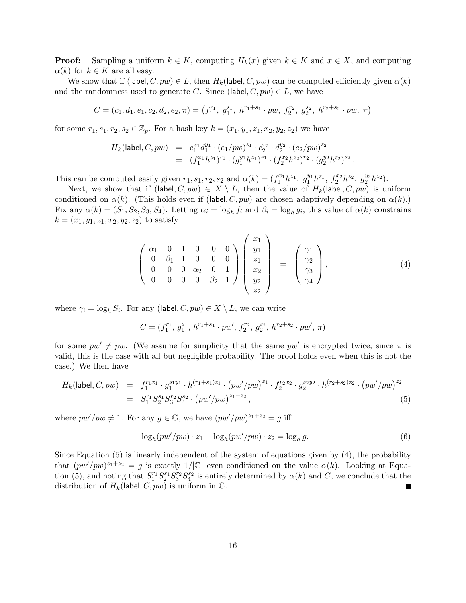**Proof:** Sampling a uniform  $k \in K$ , computing  $H_k(x)$  given  $k \in K$  and  $x \in X$ , and computing  $\alpha(k)$  for  $k \in K$  are all easy.

We show that if (label,  $C, pw$ )  $\in L$ , then  $H_k$ (label,  $C, pw$ ) can be computed efficiently given  $\alpha(k)$ and the randomness used to generate C. Since (label,  $C, pw \in L$ , we have

$$
C = (c_1, d_1, e_1, c_2, d_2, e_2, \pi) = (f_1^{r_1}, g_1^{s_1}, h^{r_1+s_1} \cdot pw, f_2^{r_2}, g_2^{s_2}, h^{r_2+s_2} \cdot pw, \pi)
$$

for some  $r_1, s_1, r_2, s_2 \in \mathbb{Z}_p$ . For a hash key  $k = (x_1, y_1, z_1, x_2, y_2, z_2)$  we have

$$
H_k(\text{label}, C, pw) = c_1^{x_1} d_1^{y_1} \cdot (e_1/pw)^{z_1} \cdot c_2^{x_2} \cdot d_2^{y_2} \cdot (e_2/pw)^{z_2}
$$
  
= 
$$
(f_1^{x_1}h^{z_1})^{r_1} \cdot (g_1^{y_1}h^{z_1})^{s_1} \cdot (f_2^{x_2}h^{z_2})^{r_2} \cdot (g_2^{y_2}h^{z_2})^{s_2}.
$$

This can be computed easily given  $r_1, s_1, r_2, s_2$  and  $\alpha(k) = (f_1^{x_1}h^{z_1}, g_1^{y_1}h^{z_1}, f_2^{x_2}h^{z_2}, g_2^{y_2}h^{z_2}).$ 

Next, we show that if (label,  $C, pw$ )  $\in X \setminus L$ , then the value of  $H_k$ (label,  $C, pw$ ) is uniform conditioned on  $\alpha(k)$ . (This holds even if (label, C, pw) are chosen adaptively depending on  $\alpha(k)$ .) Fix any  $\alpha(k) = (S_1, S_2, S_3, S_4)$ . Letting  $\alpha_i = \log_h f_i$  and  $\beta_i = \log_h g_i$ , this value of  $\alpha(k)$  constrains  $k = (x_1, y_1, z_1, x_2, y_2, z_2)$  to satisfy

$$
\begin{pmatrix}\n\alpha_1 & 0 & 1 & 0 & 0 & 0 \\
0 & \beta_1 & 1 & 0 & 0 & 0 \\
0 & 0 & 0 & \alpha_2 & 0 & 1 \\
0 & 0 & 0 & 0 & \beta_2 & 1\n\end{pmatrix}\n\begin{pmatrix}\nx_1 \\
y_1 \\
z_1 \\
x_2 \\
y_2 \\
z_2\n\end{pmatrix} = \begin{pmatrix}\n\gamma_1 \\
\gamma_2 \\
\gamma_3 \\
\gamma_4\n\end{pmatrix},
$$
\n(4)

where  $\gamma_i = \log_h S_i$ . For any  $(\textsf{label}, C, pw) \in X \setminus L$ , we can write

$$
C=(f_1^{r_1},\,g_1^{s_1},\,h^{r_1+s_1}\cdot pw',\,f_2^{r_2},\,g_2^{s_2},\,h^{r_2+s_2}\cdot pw',\,\pi)
$$

for some  $pw' \neq pw$ . (We assume for simplicity that the same  $pw'$  is encrypted twice; since  $\pi$  is valid, this is the case with all but negligible probability. The proof holds even when this is not the case.) We then have

$$
H_k(\text{label}, C, pw) = f_1^{r_1 x_1} \cdot g_1^{s_1 y_1} \cdot h^{(r_1 + s_1) z_1} \cdot (pw'/pw)^{z_1} \cdot f_2^{r_2 x_2} \cdot g_2^{s_2 y_2} \cdot h^{(r_2 + s_2) z_2} \cdot (pw'/pw)^{z_2}
$$
  
=  $S_1^{r_1} S_2^{s_1} S_3^{r_2} S_4^{s_2} \cdot (pw'/pw)^{z_1 + z_2}$ , (5)

where  $pw'/pw \neq 1$ . For any  $g \in \mathbb{G}$ , we have  $(pw'/pw)^{z_1+z_2} = g$  iff

$$
\log_h(pw'/pw) \cdot z_1 + \log_h(pw'/pw) \cdot z_2 = \log_h g. \tag{6}
$$

Since Equation (6) is linearly independent of the system of equations given by (4), the probability that  $(pw'/pw)^{z_1+z_2} = g$  is exactly  $1/|\mathbb{G}|$  even conditioned on the value  $\alpha(k)$ . Looking at Equation (5), and noting that  $S_1^{r_1} S_2^{s_1} S_3^{r_2} S_4^{s_2}$  is entirely determined by  $\alpha(k)$  and C, we conclude that the distribution of  $H_k$ (label,  $C, pw$ ) is uniform in G.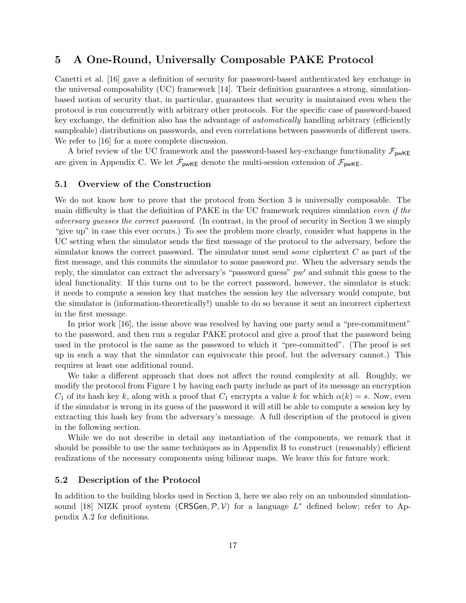# 5 A One-Round, Universally Composable PAKE Protocol

Canetti et al. [16] gave a definition of security for password-based authenticated key exchange in the universal composability (UC) framework [14]. Their definition guarantees a strong, simulationbased notion of security that, in particular, guarantees that security is maintained even when the protocol is run concurrently with arbitrary other protocols. For the specific case of password-based key exchange, the definition also has the advantage of *automatically* handling arbitrary (efficiently sampleable) distributions on passwords, and even correlations between passwords of different users. We refer to [16] for a more complete discussion.

A brief review of the UC framework and the password-based key-exchange functionality  $\mathcal{F}_{\text{pwKE}}$ are given in Appendix C. We let  $\hat{\mathcal{F}}_{\mathsf{pwKE}}$  denote the multi-session extension of  $\mathcal{F}_{\mathsf{pwKE}}$ .

### 5.1 Overview of the Construction

We do not know how to prove that the protocol from Section 3 is universally composable. The main difficulty is that the definition of PAKE in the UC framework requires simulation even if the adversary guesses the correct password. (In contrast, in the proof of security in Section 3 we simply "give up" in case this ever occurs.) To see the problem more clearly, consider what happens in the UC setting when the simulator sends the first message of the protocol to the adversary, before the simulator knows the correct password. The simulator must send *some* ciphertext  $C$  as part of the first message, and this commits the simulator to some password  $pw$ . When the adversary sends the reply, the simulator can extract the adversary's "password guess"  $pw'$  and submit this guess to the ideal functionality. If this turns out to be the correct password, however, the simulator is stuck: it needs to compute a session key that matches the session key the adversary would compute, but the simulator is (information-theoretically!) unable to do so because it sent an incorrect ciphertext in the first message.

In prior work [16], the issue above was resolved by having one party send a "pre-commitment" to the password, and then run a regular PAKE protocol and give a proof that the password being used in the protocol is the same as the password to which it "pre-committed". (The proof is set up in such a way that the simulator can equivocate this proof, but the adversary cannot.) This requires at least one additional round.

We take a different approach that does not affect the round complexity at all. Roughly, we modify the protocol from Figure 1 by having each party include as part of its message an encryption  $C_1$  of its hash key k, along with a proof that  $C_1$  encrypts a value k for which  $\alpha(k) = s$ . Now, even if the simulator is wrong in its guess of the password it will still be able to compute a session key by extracting this hash key from the adversary's message. A full description of the protocol is given in the following section.

While we do not describe in detail any instantiation of the components, we remark that it should be possible to use the same techniques as in Appendix B to construct (reasonably) efficient realizations of the necessary components using bilinear maps. We leave this for future work.

### 5.2 Description of the Protocol

In addition to the building blocks used in Section 3, here we also rely on an unbounded simulationsound [18] NIZK proof system (CRSGen,  $P, V$ ) for a language  $L^*$  defined below; refer to Appendix A.2 for definitions.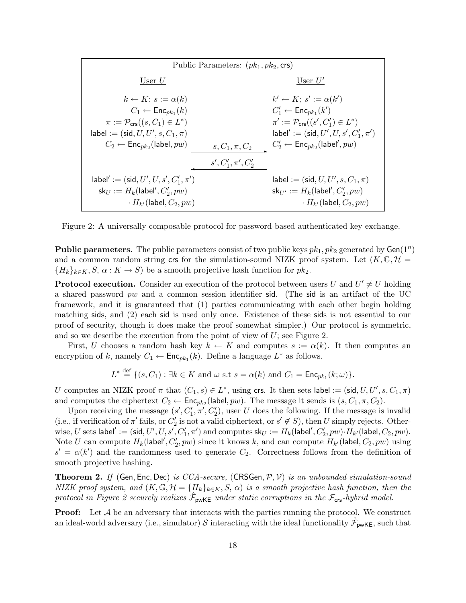| Public Parameters: $(pk_1, pk_2, \text{crs})$                                                                                                                                                                                                                |                        |                                                                                                                                                                                                                                                                           |  |
|--------------------------------------------------------------------------------------------------------------------------------------------------------------------------------------------------------------------------------------------------------------|------------------------|---------------------------------------------------------------------------------------------------------------------------------------------------------------------------------------------------------------------------------------------------------------------------|--|
| User $U$                                                                                                                                                                                                                                                     |                        | User $U'$                                                                                                                                                                                                                                                                 |  |
| $k \leftarrow K$ ; $s := \alpha(k)$<br>$C_1 \leftarrow \mathsf{Enc}_{pk_1}(k)$<br>$\pi := \mathcal{P}_{\text{crs}}((s, C_1) \in L^*)$<br>label := (sid, $U, U', s, C_1, \pi$ )<br>$C_2 \leftarrow \mathsf{Enc}_{\mathit{pk}_2}(\mathsf{label}, \mathit{pw})$ | $s, C_1, \pi, C_2$     | $k' \leftarrow K$ ; $s' := \alpha(k')$<br>$C'_1 \leftarrow \mathsf{Enc}_{pk_1}(k')$<br>$\pi' := \mathcal{P}_{\text{crs}}((s', C'_1) \in L^*)$<br>$\mathsf{label}' := (\mathsf{sid}, U', U, s', C'_1, \pi')$<br>$C'_2 \leftarrow \mathsf{Enc}_{pk_2}(\mathsf{label}', pw)$ |  |
|                                                                                                                                                                                                                                                              | $s', C'_1, \pi', C'_2$ |                                                                                                                                                                                                                                                                           |  |
| $\mathsf{label}' := (\mathsf{sid}, U', U, s', C'_1, \pi')$<br>$\mathsf{sk}_U := H_k(\mathsf{label}', C'_2, pw)$<br>$\cdot H_{k'}$ (label, $C_2, pw$ )                                                                                                        |                        | label := $(\text{sid}, U, U', s, C_1, \pi)$<br>$\mathsf{sk}_{U'} := H_k(\mathsf{label}', C'_2, pw)$<br>$\cdot H_{k'}$ (label, $C_2, pw$ )                                                                                                                                 |  |

Figure 2: A universally composable protocol for password-based authenticated key exchange.

**Public parameters.** The public parameters consist of two public keys  $pk_1, pk_2$  generated by  $Gen(1^n)$ and a common random string crs for the simulation-sound NIZK proof system. Let  $(K, \mathbb{G}, \mathcal{H})$  ${H_k}_{k\in K}, S, \alpha: K \to S$  be a smooth projective hash function for  $pk_2$ .

**Protocol execution.** Consider an execution of the protocol between users U and  $U' \neq U$  holding a shared password pw and a common session identifier sid. (The sid is an artifact of the UC framework, and it is guaranteed that (1) parties communicating with each other begin holding matching sids, and (2) each sid is used only once. Existence of these sids is not essential to our proof of security, though it does make the proof somewhat simpler.) Our protocol is symmetric, and so we describe the execution from the point of view of  $U$ ; see Figure 2.

First, U chooses a random hash key  $k \leftarrow K$  and computes  $s := \alpha(k)$ . It then computes an encryption of k, namely  $C_1 \leftarrow \mathsf{Enc}_{pk_1}(k)$ . Define a language  $L^*$  as follows.

$$
L^* \stackrel{\text{def}}{=} \{ (s, C_1) : \exists k \in K \text{ and } \omega \text{ s.t } s = \alpha(k) \text{ and } C_1 = \mathsf{Enc}_{pk_1}(k; \omega) \}.
$$

U computes an NIZK proof  $\pi$  that  $(C_1, s) \in L^*$ , using crs. It then sets label := (sid,  $U, U', s, C_1, \pi$ ) and computes the ciphertext  $C_2 \leftarrow \mathsf{Enc}_{pk_2}(\textsf{label}, pw)$ . The message it sends is  $(s, C_1, \pi, C_2)$ .

Upon receiving the message  $(s', C_1', \pi', C_2')$ , user U does the following. If the message is invalid (i.e., if verification of  $\pi'$  fails, or  $C'_2$  is not a valid ciphertext, or  $s' \notin S$ ), then U simply rejects. Otherwise,  $U$  sets label'  $:=$  (sid,  $U', U, s', C_1', \pi')$  and computes  $\mathsf{sk}_U := H_k(\mathsf{label}', C_2', pw) \cdot H_{k'}(\mathsf{label}, C_2, pw).$ Note U can compute  $H_k$ (label',  $C_2', pw$ ) since it knows k, and can compute  $H_{k'}$ (label,  $C_2, pw$ ) using  $s' = \alpha(k')$  and the randomness used to generate  $C_2$ . Correctness follows from the definition of smooth projective hashing.

**Theorem 2.** If (Gen, Enc, Dec) is CCA-secure, (CRSGen,  $P, V$ ) is an unbounded simulation-sound NIZK proof system, and  $(K, \mathbb{G}, \mathcal{H} = \{H_k\}_{k\in K}, S, \alpha)$  is a smooth projective hash function, then the protocol in Figure 2 securely realizes  $\hat{\mathcal{F}}_{\text{pwKE}}$  under static corruptions in the  $\mathcal{F}_{\text{crs}}$ -hybrid model.

**Proof:** Let A be an adversary that interacts with the parties running the protocol. We construct an ideal-world adversary (i.e., simulator) S interacting with the ideal functionality  $\hat{\mathcal{F}}_{\sf pwKE}$ , such that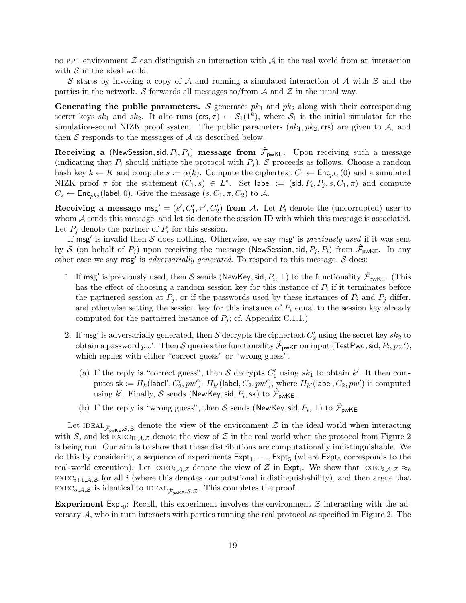no PPT environment  $\mathcal Z$  can distinguish an interaction with  $\mathcal A$  in the real world from an interaction with  $S$  in the ideal world.

S starts by invoking a copy of A and running a simulated interaction of A with  $\mathcal Z$  and the parties in the network. S forwards all messages to/from  $A$  and  $B$  in the usual way.

Generating the public parameters. S generates  $pk_1$  and  $pk_2$  along with their corresponding secret keys  $sk_1$  and  $sk_2$ . It also runs  $(\text{crs}, \tau) \leftarrow S_1(1^k)$ , where  $S_1$  is the initial simulator for the simulation-sound NIZK proof system. The public parameters  $(pk_1, pk_2, \text{crs})$  are given to A, and then  $S$  responds to the messages of  $A$  as described below.

Receiving a (NewSession, sid,  $P_i, P_j$ ) message from  $\hat{\mathcal{F}}_{\mathsf{pwKE}}$ . Upon receiving such a message (indicating that  $P_i$  should initiate the protocol with  $P_i$ ), S proceeds as follows. Choose a random hash key  $k \leftarrow K$  and compute  $s := \alpha(k)$ . Compute the ciphertext  $C_1 \leftarrow \mathsf{Enc}_{pk_1}(0)$  and a simulated NIZK proof  $\pi$  for the statement  $(C_1, s) \in L^*$ . Set label := (sid,  $P_i, P_j, s, C_1, \pi$ ) and compute  $C_2 \leftarrow \mathsf{Enc}_{pk_2}(\mathsf{label}, 0).$  Give the message  $(s, C_1, \pi, C_2)$  to  $\mathcal{A}.$ 

Receiving a message msg' =  $(s', C_1', \pi', C_2')$  from A. Let  $P_i$  denote the (uncorrupted) user to whom  $\mathcal A$  sends this message, and let sid denote the session ID with which this message is associated. Let  $P_j$  denote the partner of  $P_i$  for this session.

If msg' is invalid then S does nothing. Otherwise, we say msg' is previously used if it was sent by S (on behalf of  $P_j$ ) upon receiving the message (NewSession, sid,  $P_j, P_i$ ) from  $\hat{\mathcal{F}}_{\text{pwKE}}$ . In any other case we say msg<sup>'</sup> is *adversarially generated*. To respond to this message, S does:

- 1. If msg' is previously used, then S sends (NewKey, sid,  $P_i, \perp$ ) to the functionality  $\hat{\mathcal{F}}_{\sf pwKE}$ . (This has the effect of choosing a random session key for this instance of  $P_i$  if it terminates before the partnered session at  $P_i$ , or if the passwords used by these instances of  $P_i$  and  $P_j$  differ, and otherwise setting the session key for this instance of  $P_i$  equal to the session key already computed for the partnered instance of  $P_j$ ; cf. Appendix C.1.1.)
- 2. If msg' is adversarially generated, then S decrypts the ciphertext  $C_2'$  using the secret key  $sk_2$  to obtain a password  $pw'$ . Then S queries the functionality  $\hat{\mathcal{F}}_{\mathsf{pwKE}}$  on input (TestPwd, sid,  $P_i, pw'$ ), which replies with either "correct guess" or "wrong guess".
	- (a) If the reply is "correct guess", then S decrypts  $C'_1$  using  $sk_1$  to obtain k'. It then computes sk :=  $H_k$ (label',  $C_2', pw' \rangle \cdot H_{k'}$ (label,  $C_2, pw' \rangle$ , where  $H_{k'}$ (label,  $C_2, pw' \rangle$  is computed using k'. Finally, S sends (NewKey, sid,  $P_i$ , sk) to  $\hat{\mathcal{F}}_{\mathsf{pwKE}}$ .
	- (b) If the reply is "wrong guess", then S sends (NewKey, sid,  $P_i, \perp$ ) to  $\hat{\mathcal{F}}_{pwKE}$ .

Let IDEAL $_{\hat{\mathcal{F}}_{\text{pwKE}},\mathcal{S},\mathcal{Z}}$  denote the view of the environment  $\mathcal{Z}$  in the ideal world when interacting with S, and let  $\text{EXEC}_{\Pi,\mathcal{A},\mathcal{Z}}$  denote the view of Z in the real world when the protocol from Figure 2 is being run. Our aim is to show that these distributions are computationally indistinguishable. We do this by considering a sequence of experiments  $\textsf{Expt}_1, \ldots, \textsf{Expt}_5$  (where  $\textsf{Expt}_0$  corresponds to the real-world execution). Let  $\text{EXEC}_{i,\mathcal{A},\mathcal{Z}}$  denote the view of  $\mathcal Z$  in  $\text{Expt}_i$ . We show that  $\text{EXEC}_{i,\mathcal{A},\mathcal{Z}} \approx_c$  $\text{EXEC}_{i+1,\mathcal{A},\mathcal{Z}}$  for all i (where this denotes computational indistinguishability), and then argue that  $\text{EXEC}_{5,\mathcal{A},\mathcal{Z}}$  is identical to IDEAL $_{\hat{\mathcal{F}}_{\text{pwKE}},\mathcal{S},\mathcal{Z}}$ . This completes the proof.

Experiment Expt<sub>0</sub>: Recall, this experiment involves the environment  $\mathcal Z$  interacting with the adversary  $A$ , who in turn interacts with parties running the real protocol as specified in Figure 2. The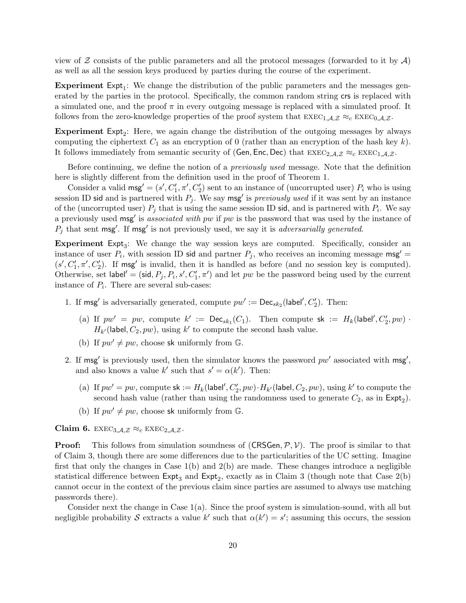view of  $\mathcal Z$  consists of the public parameters and all the protocol messages (forwarded to it by  $\mathcal A$ ) as well as all the session keys produced by parties during the course of the experiment.

Experiment  $Expt_1$ : We change the distribution of the public parameters and the messages generated by the parties in the protocol. Specifically, the common random string crs is replaced with a simulated one, and the proof  $\pi$  in every outgoing message is replaced with a simulated proof. It follows from the zero-knowledge properties of the proof system that  $EXEC_{1,\mathcal{A},\mathcal{Z}} \approx_c EXEC_{0,\mathcal{A},\mathcal{Z}}$ .

Experiment  $Expt_2$ : Here, we again change the distribution of the outgoing messages by always computing the ciphertext  $C_1$  as an encryption of 0 (rather than an encryption of the hash key k). It follows immediately from semantic security of (Gen, Enc, Dec) that  $\text{EXEC}_{2,\mathcal{A},\mathcal{Z}} \approx_c \text{EXEC}_{1,\mathcal{A},\mathcal{Z}}$ .

Before continuing, we define the notion of a previously used message. Note that the definition here is slightly different from the definition used in the proof of Theorem 1.

Consider a valid  $\mathsf{msg}' = (s', C'_1, \pi', C'_2)$  sent to an instance of (uncorrupted user)  $P_i$  who is using session ID sid and is partnered with  $P_j$ . We say msg' is previously used if it was sent by an instance of the (uncorrupted user)  $P_j$  that is using the same session ID sid, and is partnered with  $P_i$ . We say a previously used msg<sup>'</sup> is *associated with pw* if pw is the password that was used by the instance of  $P_j$  that sent msg'. If msg' is not previously used, we say it is *adversarially generated*.

Experiment Expt<sub>3</sub>: We change the way session keys are computed. Specifically, consider an instance of user  $P_i$ , with session ID sid and partner  $P_j$ , who receives an incoming message msg' =  $(s', C'_1, \pi', C'_2)$ . If msg' is invalid, then it is handled as before (and no session key is computed). Otherwise, set label' = (sid,  $P_j, P_i, s', C'_1, \pi'$ ) and let pw be the password being used by the current instance of  $P_i$ . There are several sub-cases:

- 1. If msg' is adversarially generated, compute  $pw' := \mathsf{Dec}_{sk_2}(\mathsf{label}', C'_2)$ . Then:
	- (a) If  $pw' = pw$ , compute  $k' := \text{Dec}_{sk_1}(C_1)$ . Then compute  $sk := H_k(\text{label}', C'_2, pw)$ .  $H_{k'}$ (label,  $C_2, pw$ ), using  $k'$  to compute the second hash value.
	- (b) If  $pw' \neq pw$ , choose sk uniformly from G.
- 2. If msg' is previously used, then the simulator knows the password  $pw'$  associated with msg', and also knows a value k' such that  $s' = \alpha(k')$ . Then:
	- (a) If  $pw' = pw$ , compute  $sk := H_k(\text{label}', C'_2, pw) \cdot H_{k'}(\text{label}, C_2, pw)$ , using  $k'$  to compute the second hash value (rather than using the randomness used to generate  $C_2$ , as in  $\textsf{Expt}_2$ ).
	- (b) If  $pw' \neq pw$ , choose sk uniformly from G.

Claim 6. EXEC<sub>3, A, Z</sub>  $\approx_c$  EXEC<sub>2</sub>, A, Z.

**Proof:** This follows from simulation soundness of  $(CRSGen, \mathcal{P}, \mathcal{V})$ . The proof is similar to that of Claim 3, though there are some differences due to the particularities of the UC setting. Imagine first that only the changes in Case 1(b) and 2(b) are made. These changes introduce a negligible statistical difference between  $\text{Expt}_3$  and  $\text{Expt}_2$ , exactly as in Claim 3 (though note that Case 2(b) cannot occur in the context of the previous claim since parties are assumed to always use matching passwords there).

Consider next the change in Case 1(a). Since the proof system is simulation-sound, with all but negligible probability S extracts a value k' such that  $\alpha(k') = s'$ ; assuming this occurs, the session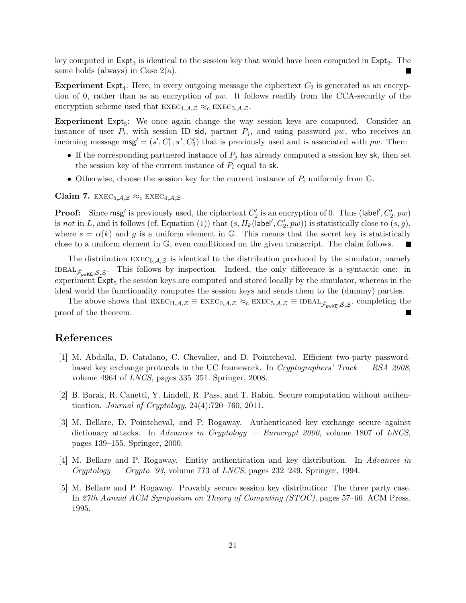key computed in  $\textsf{Expt}_3$  is identical to the session key that would have been computed in  $\textsf{Expt}_2$ . The same holds (always) in Case 2(a).

Experiment Expt<sub>4</sub>: Here, in every outgoing message the ciphertext  $C_2$  is generated as an encryption of 0, rather than as an encryption of pw. It follows readily from the CCA-security of the encryption scheme used that  $EXEC_{4,\mathcal{A},\mathcal{Z}} \approx_c EXEC_{3,\mathcal{A},\mathcal{Z}}$ .

Experiment Expt<sub>5</sub>: We once again change the way session keys are computed. Consider an instance of user  $P_i$ , with session ID sid, partner  $P_j$ , and using password pw, who receives an incoming message  $\mathsf{msg}' = (s', C'_1, \pi', C'_2)$  that is previously used and is associated with pw. Then:

- If the corresponding partnered instance of  $P_i$  has already computed a session key sk, then set the session key of the current instance of  $P_i$  equal to sk.
- Otherwise, choose the session key for the current instance of  $P_i$  uniformly from  $\mathbb{G}$ .

Claim 7.  $EXEC_{5,\mathcal{A},\mathcal{Z}} \approx_c EXEC_{4,\mathcal{A},\mathcal{Z}}$ .

**Proof:** Since  $\text{msg}'$  is previously used, the ciphertext  $C'_2$  is an encryption of 0. Thus (label',  $C'_2, pw$ ) is not in L, and it follows (cf. Equation (1)) that  $(s, H_k(\text{label}', C'_2, pw))$  is statistically close to  $(s, g)$ , where  $s = \alpha(k)$  and g is a uniform element in G. This means that the secret key is statistically close to a uniform element in G, even conditioned on the given transcript. The claim follows. п

The distribution  $EXEC_{5,\mathcal{A},\mathcal{Z}}$  is identical to the distribution produced by the simulator, namely IDEAL $\hat{\mathcal{F}}_{\text{pwKE}},\mathcal{S},\mathcal{Z}$ . This follows by inspection. Indeed, the only difference is a syntactic one: in  $\epsilon$  experiment  $\textsf{Expt}_5$  the session keys are computed and stored locally by the simulator, whereas in the ideal world the functionality computes the session keys and sends them to the (dummy) parties.

The above shows that  $\text{EXEC}_{\Pi,\mathcal{A},\mathcal{Z}} \equiv \text{EXEC}_{0,\mathcal{A},\mathcal{Z}} \approx_c \text{EXEC}_{5,\mathcal{A},\mathcal{Z}} \equiv \text{IDEAL}_{\hat{\mathcal{F}}_{\text{pwKE}},\mathcal{S},\mathcal{Z}}$ , completing the proof of the theorem.

### References

- [1] M. Abdalla, D. Catalano, C. Chevalier, and D. Pointcheval. Efficient two-party passwordbased key exchange protocols in the UC framework. In Cryptographers' Track  $-RSA$  2008. volume 4964 of LNCS, pages 335–351. Springer, 2008.
- [2] B. Barak, R. Canetti, Y. Lindell, R. Pass, and T. Rabin. Secure computation without authentication. *Journal of Cryptology*,  $24(4)$ :720–760, 2011.
- [3] M. Bellare, D. Pointcheval, and P. Rogaway. Authenticated key exchange secure against dictionary attacks. In Advances in Cryptology — Eurocrypt 2000, volume 1807 of LNCS, pages 139–155. Springer, 2000.
- [4] M. Bellare and P. Rogaway. Entity authentication and key distribution. In Advances in  $Cryptology - Crypto' 93$ , volume 773 of *LNCS*, pages 232-249. Springer, 1994.
- [5] M. Bellare and P. Rogaway. Provably secure session key distribution: The three party case. In 27th Annual ACM Symposium on Theory of Computing (STOC), pages 57–66. ACM Press, 1995.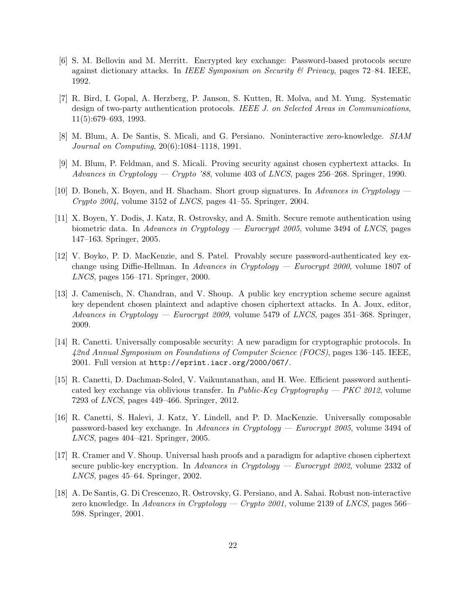- [6] S. M. Bellovin and M. Merritt. Encrypted key exchange: Password-based protocols secure against dictionary attacks. In IEEE Symposium on Security  $\mathcal B$  Privacy, pages 72–84. IEEE, 1992.
- [7] R. Bird, I. Gopal, A. Herzberg, P. Janson, S. Kutten, R. Molva, and M. Yung. Systematic design of two-party authentication protocols. IEEE J. on Selected Areas in Communications, 11(5):679–693, 1993.
- [8] M. Blum, A. De Santis, S. Micali, and G. Persiano. Noninteractive zero-knowledge. SIAM Journal on Computing, 20(6):1084–1118, 1991.
- [9] M. Blum, P. Feldman, and S. Micali. Proving security against chosen cyphertext attacks. In Advances in Cryptology — Crypto '88, volume 403 of LNCS, pages  $256-268$ . Springer, 1990.
- [10] D. Boneh, X. Boyen, and H. Shacham. Short group signatures. In Advances in Cryptology Crypto  $2004$ , volume 3152 of LNCS, pages 41–55. Springer, 2004.
- [11] X. Boyen, Y. Dodis, J. Katz, R. Ostrovsky, and A. Smith. Secure remote authentication using biometric data. In Advances in Cryptology — Eurocrypt 2005, volume 3494 of LNCS, pages 147–163. Springer, 2005.
- [12] V. Boyko, P. D. MacKenzie, and S. Patel. Provably secure password-authenticated key exchange using Diffie-Hellman. In Advances in Cryptology — Eurocrypt 2000, volume 1807 of LNCS, pages 156–171. Springer, 2000.
- [13] J. Camenisch, N. Chandran, and V. Shoup. A public key encryption scheme secure against key dependent chosen plaintext and adaptive chosen ciphertext attacks. In A. Joux, editor, Advances in Cryptology — Eurocrypt 2009, volume 5479 of LNCS, pages 351–368. Springer, 2009.
- [14] R. Canetti. Universally composable security: A new paradigm for cryptographic protocols. In 42nd Annual Symposium on Foundations of Computer Science (FOCS), pages 136–145. IEEE, 2001. Full version at http://eprint.iacr.org/2000/067/.
- [15] R. Canetti, D. Dachman-Soled, V. Vaikuntanathan, and H. Wee. Efficient password authenticated key exchange via oblivious transfer. In *Public-Key Cryptography*  $-$  *PKC 2012*, volume 7293 of LNCS, pages 449–466. Springer, 2012.
- [16] R. Canetti, S. Halevi, J. Katz, Y. Lindell, and P. D. MacKenzie. Universally composable password-based key exchange. In Advances in Cryptology — Eurocrypt 2005, volume 3494 of LNCS, pages 404–421. Springer, 2005.
- [17] R. Cramer and V. Shoup. Universal hash proofs and a paradigm for adaptive chosen ciphertext secure public-key encryption. In Advances in Cryptology — Eurocrypt 2002, volume 2332 of LNCS, pages 45–64. Springer, 2002.
- [18] A. De Santis, G. Di Crescenzo, R. Ostrovsky, G. Persiano, and A. Sahai. Robust non-interactive zero knowledge. In Advances in Cryptology — Crypto 2001, volume 2139 of LNCS, pages 566– 598. Springer, 2001.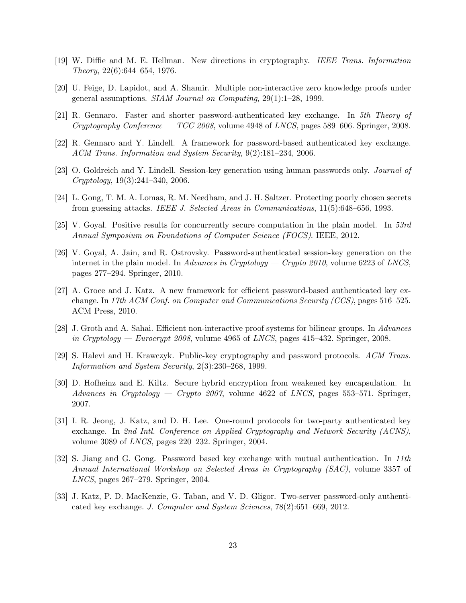- [19] W. Diffie and M. E. Hellman. New directions in cryptography. IEEE Trans. Information Theory, 22(6):644–654, 1976.
- [20] U. Feige, D. Lapidot, and A. Shamir. Multiple non-interactive zero knowledge proofs under general assumptions. SIAM Journal on Computing, 29(1):1–28, 1999.
- [21] R. Gennaro. Faster and shorter password-authenticated key exchange. In 5th Theory of Cryptography Conference — TCC 2008, volume 4948 of LNCS, pages 589–606. Springer, 2008.
- [22] R. Gennaro and Y. Lindell. A framework for password-based authenticated key exchange. ACM Trans. Information and System Security, 9(2):181–234, 2006.
- [23] O. Goldreich and Y. Lindell. Session-key generation using human passwords only. Journal of Cryptology, 19(3):241–340, 2006.
- [24] L. Gong, T. M. A. Lomas, R. M. Needham, and J. H. Saltzer. Protecting poorly chosen secrets from guessing attacks. IEEE J. Selected Areas in Communications, 11(5):648–656, 1993.
- [25] V. Goyal. Positive results for concurrently secure computation in the plain model. In 53rd Annual Symposium on Foundations of Computer Science (FOCS). IEEE, 2012.
- [26] V. Goyal, A. Jain, and R. Ostrovsky. Password-authenticated session-key generation on the internet in the plain model. In Advances in Cryptology — Crypto 2010, volume 6223 of LNCS. pages 277–294. Springer, 2010.
- [27] A. Groce and J. Katz. A new framework for efficient password-based authenticated key exchange. In 17th ACM Conf. on Computer and Communications Security (CCS), pages 516–525. ACM Press, 2010.
- [28] J. Groth and A. Sahai. Efficient non-interactive proof systems for bilinear groups. In Advances in Cryptology — Eurocrypt 2008, volume  $4965$  of LNCS, pages  $415-432$ . Springer, 2008.
- [29] S. Halevi and H. Krawczyk. Public-key cryptography and password protocols. ACM Trans. Information and System Security, 2(3):230–268, 1999.
- [30] D. Hofheinz and E. Kiltz. Secure hybrid encryption from weakened key encapsulation. In Advances in Cryptology — Crypto 2007, volume  $4622$  of LNCS, pages 553–571. Springer, 2007.
- [31] I. R. Jeong, J. Katz, and D. H. Lee. One-round protocols for two-party authenticated key exchange. In 2nd Intl. Conference on Applied Cryptography and Network Security (ACNS), volume 3089 of LNCS, pages 220–232. Springer, 2004.
- [32] S. Jiang and G. Gong. Password based key exchange with mutual authentication. In 11th Annual International Workshop on Selected Areas in Cryptography (SAC), volume 3357 of LNCS, pages 267–279. Springer, 2004.
- [33] J. Katz, P. D. MacKenzie, G. Taban, and V. D. Gligor. Two-server password-only authenticated key exchange. J. Computer and System Sciences, 78(2):651–669, 2012.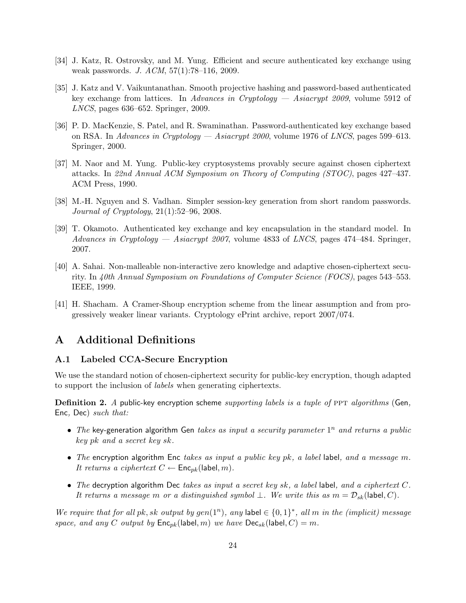- [34] J. Katz, R. Ostrovsky, and M. Yung. Efficient and secure authenticated key exchange using weak passwords. J. ACM, 57(1):78–116, 2009.
- [35] J. Katz and V. Vaikuntanathan. Smooth projective hashing and password-based authenticated key exchange from lattices. In Advances in Cryptology — Asiacrypt 2009, volume 5912 of LNCS, pages 636–652. Springer, 2009.
- [36] P. D. MacKenzie, S. Patel, and R. Swaminathan. Password-authenticated key exchange based on RSA. In Advances in Cryptology — Asiacrypt  $2000$ , volume 1976 of LNCS, pages 599–613. Springer, 2000.
- [37] M. Naor and M. Yung. Public-key cryptosystems provably secure against chosen ciphertext attacks. In 22nd Annual ACM Symposium on Theory of Computing (STOC), pages 427–437. ACM Press, 1990.
- [38] M.-H. Nguyen and S. Vadhan. Simpler session-key generation from short random passwords. Journal of Cryptology, 21(1):52–96, 2008.
- [39] T. Okamoto. Authenticated key exchange and key encapsulation in the standard model. In Advances in Cryptology — Asiacrypt 2007, volume 4833 of LNCS, pages 474–484. Springer, 2007.
- [40] A. Sahai. Non-malleable non-interactive zero knowledge and adaptive chosen-ciphertext security. In 40th Annual Symposium on Foundations of Computer Science (FOCS), pages 543–553. IEEE, 1999.
- [41] H. Shacham. A Cramer-Shoup encryption scheme from the linear assumption and from progressively weaker linear variants. Cryptology ePrint archive, report 2007/074.

# A Additional Definitions

### A.1 Labeled CCA-Secure Encryption

We use the standard notion of chosen-ciphertext security for public-key encryption, though adapted to support the inclusion of labels when generating ciphertexts.

**Definition 2.** A public-key encryption scheme supporting labels is a tuple of PPT algorithms (Gen, Enc, Dec) such that:

- The key-generation algorithm Gen takes as input a security parameter  $1^n$  and returns a public key pk and a secret key sk.
- The encryption algorithm Enc takes as input a public key pk, a label label, and a message m. It returns a ciphertext  $C \leftarrow \mathsf{Enc}_{nk}(\textsf{label}, m)$ .
- The decryption algorithm Dec takes as input a secret key sk, a label label, and a ciphertext  $C$ . It returns a message m or a distinguished symbol  $\perp$ . We write this as  $m = \mathcal{D}_{sk}(\text{label}, C)$ .

We require that for all pk, sk output by gen( $1^n$ ), any label  $\in \{0,1\}^*$ , all m in the (implicit) message space, and any C output by  $\mathsf{Enc}_{pk}(\mathsf{label}, m)$  we have  $\mathsf{Dec}_{sk}(\mathsf{label}, C) = m$ .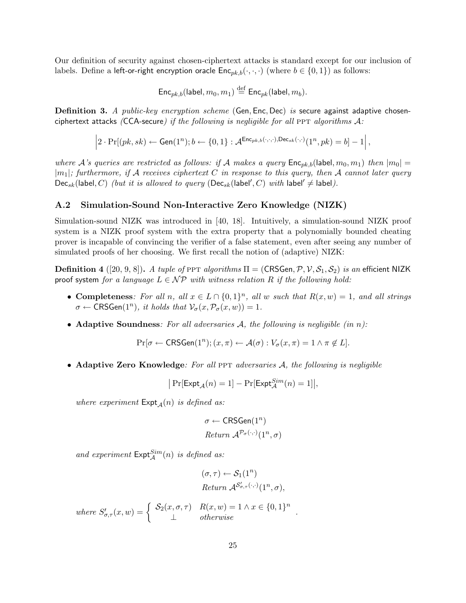Our definition of security against chosen-ciphertext attacks is standard except for our inclusion of labels. Define a left-or-right encryption oracle  $\text{Enc}_{pk,b}(\cdot,\cdot,\cdot)$  (where  $b \in \{0,1\}$ ) as follows:

 $\mathsf{Enc}_{pk,b}(\mathsf{label},m_0,m_1) \stackrel{\mathrm{def}}{=} \mathsf{Enc}_{pk}(\mathsf{label},m_b).$ 

Definition 3. A public-key encryption scheme (Gen, Enc, Dec) is secure against adaptive chosenciphertext attacks (CCA-secure) if the following is negligible for all PPT algorithms  $A$ :

$$
\Big|2\cdot\Pr[(pk, sk) \leftarrow \text{Gen}(1^n); b \leftarrow \{0, 1\} : \mathcal{A}^{\text{Enc}_{pk, b}(\cdot, \cdot, \cdot), \text{Dec}_{sk}(\cdot, \cdot)}(1^n, pk) = b] - 1\Big|,
$$

where A's queries are restricted as follows: if A makes a query  $\textsf{Enc}_{pk,b}(\textsf{label}, m_0, m_1)$  then  $|m_0| =$  $|m_1|$ ; furthermore, if A receives ciphertext C in response to this query, then A cannot later query  $\mathsf{Dec}_{sk}(\mathsf{label}, C)$  (but it is allowed to query  $(\mathsf{Dec}_{sk}(\mathsf{label}', C)$  with  $\mathsf{label}' \neq \mathsf{label}.$ 

### A.2 Simulation-Sound Non-Interactive Zero Knowledge (NIZK)

Simulation-sound NIZK was introduced in [40, 18]. Intuitively, a simulation-sound NIZK proof system is a NIZK proof system with the extra property that a polynomially bounded cheating prover is incapable of convincing the verifier of a false statement, even after seeing any number of simulated proofs of her choosing. We first recall the notion of (adaptive) NIZK:

**Definition 4** ([20, 9, 8]). A tuple of PPT algorithms  $\Pi = (\mathsf{CRSGen}, \mathcal{P}, \mathcal{V}, \mathcal{S}_1, \mathcal{S}_2)$  is an efficient NIZK proof system for a language  $L \in \mathcal{NP}$  with witness relation R if the following hold:

- Completeness: For all n, all  $x \in L \cap \{0,1\}^n$ , all w such that  $R(x, w) = 1$ , and all strings  $\sigma \leftarrow \text{CRSGen}(1^n)$ , it holds that  $\mathcal{V}_{\sigma}(x, \mathcal{P}_{\sigma}(x, w)) = 1$ .
- Adaptive Soundness: For all adversaries  $A$ , the following is negligible (in n):

$$
\Pr[\sigma \leftarrow \mathsf{CRSGen}(1^n); (x, \pi) \leftarrow \mathcal{A}(\sigma) : V_{\sigma}(x, \pi) = 1 \land \pi \notin L].
$$

• Adaptive Zero Knowledge: For all PPT adversaries  $A$ , the following is negligible

$$
\big|\Pr[\mathsf{Expt}_{\mathcal{A}}(n)=1]-\Pr[\mathsf{Expt}^{Sim}_{\mathcal{A}}(n)=1]\big|,
$$

where experiment  $\textsf{Expt}_A(n)$  is defined as:

$$
\sigma \leftarrow \text{CRSGen}(1^n)
$$
  
Return  $\mathcal{A}^{\mathcal{P}_{\sigma}(\cdot,\cdot)}(1^n, \sigma)$ 

and experiment  $\text{Ext}_{\mathcal{A}}^{Sim}(n)$  is defined as:

$$
(\sigma, \tau) \leftarrow \mathcal{S}_1(1^n)
$$
  
Return  $\mathcal{A}^{\mathcal{S}'_{\sigma,\tau}(\cdot,\cdot)}(1^n, \sigma)$ ,

where 
$$
S'_{\sigma,\tau}(x,w) = \begin{cases} S_2(x,\sigma,\tau) & R(x,w) = 1 \land x \in \{0,1\}^n \\ \perp & otherwise \end{cases}
$$
.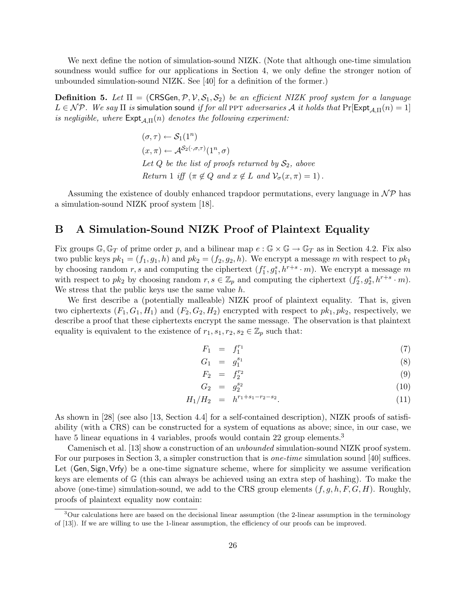We next define the notion of simulation-sound NIZK. (Note that although one-time simulation soundness would suffice for our applications in Section 4, we only define the stronger notion of unbounded simulation-sound NIZK. See [40] for a definition of the former.)

**Definition 5.** Let  $\Pi = (CRSGen, \mathcal{P}, \mathcal{V}, \mathcal{S}_1, \mathcal{S}_2)$  be an efficient NIZK proof system for a language  $L \in \mathcal{NP}$ . We say  $\Pi$  is simulation sound if for all PPT adversaries A it holds that  $\Pr[\mathsf{Expt}_{\mathcal{A},\Pi}(n) = 1]$ is negligible, where  $\textsf{Expt}_{A,\Pi}(n)$  denotes the following experiment:

> $(\sigma, \tau) \leftarrow \mathcal{S}_1(1^n)$  $(x,\pi) \leftarrow \mathcal{A}^{\mathcal{S}_2(\cdot,\sigma,\tau)}(1^n,\sigma)$ Let  $Q$  be the list of proofs returned by  $S_2$ , above Return 1 iff  $(\pi \notin Q \text{ and } x \notin L \text{ and } \mathcal{V}_{\sigma}(x, \pi) = 1)$ .

Assuming the existence of doubly enhanced trapdoor permutations, every language in  $\mathcal{NP}$  has a simulation-sound NIZK proof system [18].

# B A Simulation-Sound NIZK Proof of Plaintext Equality

Fix groups  $\mathbb{G}, \mathbb{G}_T$  of prime order p, and a bilinear map  $e : \mathbb{G} \times \mathbb{G} \to \mathbb{G}_T$  as in Section 4.2. Fix also two public keys  $pk_1 = (f_1, g_1, h)$  and  $pk_2 = (f_2, g_2, h)$ . We encrypt a message m with respect to  $pk_1$ by choosing random r, s and computing the ciphertext  $(f_1^r, g_1^s, h^{r+s} \cdot m)$ . We encrypt a message m with respect to  $pk_2$  by choosing random  $r, s \in \mathbb{Z}_p$  and computing the ciphertext  $(f_2^r, g_2^s, h^{r+s} \cdot m)$ . We stress that the public keys use the same value  $h$ .

We first describe a (potentially malleable) NIZK proof of plaintext equality. That is, given two ciphertexts  $(F_1, G_1, H_1)$  and  $(F_2, G_2, H_2)$  encrypted with respect to  $pk_1, pk_2$ , respectively, we describe a proof that these ciphertexts encrypt the same message. The observation is that plaintext equality is equivalent to the existence of  $r_1, s_1, r_2, s_2 \in \mathbb{Z}_p$  such that:

$$
F_1 = f_1^{r_1} \tag{7}
$$

$$
G_1 = g_1^{s_1} \t\t(8)
$$

$$
F_2 = f_2^{r_2} \tag{9}
$$

$$
G_2 = g_2^{s_2} \tag{10}
$$

$$
H_1/H_2 = h^{r_1+s_1-r_2-s_2}.
$$
\n(11)

As shown in [28] (see also [13, Section 4.4] for a self-contained description), NIZK proofs of satisfiability (with a CRS) can be constructed for a system of equations as above; since, in our case, we have 5 linear equations in 4 variables, proofs would contain 22 group elements.<sup>3</sup>

Camenisch et al. [13] show a construction of an unbounded simulation-sound NIZK proof system. For our purposes in Section 3, a simpler construction that is *one-time* simulation sound [40] suffices. Let (Gen, Sign, Vrfy) be a one-time signature scheme, where for simplicity we assume verification keys are elements of G (this can always be achieved using an extra step of hashing). To make the above (one-time) simulation-sound, we add to the CRS group elements  $(f, g, h, F, G, H)$ . Roughly, proofs of plaintext equality now contain:

 $3$ Our calculations here are based on the decisional linear assumption (the 2-linear assumption in the terminology of [13]). If we are willing to use the 1-linear assumption, the efficiency of our proofs can be improved.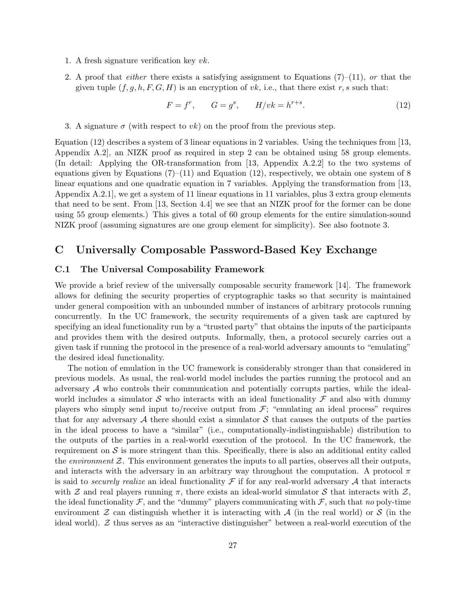- 1. A fresh signature verification key vk.
- 2. A proof that *either* there exists a satisfying assignment to Equations (7)–(11), or that the given tuple  $(f, g, h, F, G, H)$  is an encryption of vk, i.e., that there exist r, s such that:

$$
F = f^r, \qquad G = g^s, \qquad H/vk = h^{r+s}.
$$
\n
$$
(12)
$$

3. A signature  $\sigma$  (with respect to vk) on the proof from the previous step.

Equation (12) describes a system of 3 linear equations in 2 variables. Using the techniques from [13, Appendix A.2], an NIZK proof as required in step 2 can be obtained using 58 group elements. (In detail: Applying the OR-transformation from [13, Appendix A.2.2] to the two systems of equations given by Equations  $(7)$ – $(11)$  and Equation  $(12)$ , respectively, we obtain one system of 8 linear equations and one quadratic equation in 7 variables. Applying the transformation from [13, Appendix A.2.1], we get a system of 11 linear equations in 11 variables, plus 3 extra group elements that need to be sent. From [13, Section 4.4] we see that an NIZK proof for the former can be done using 55 group elements.) This gives a total of 60 group elements for the entire simulation-sound NIZK proof (assuming signatures are one group element for simplicity). See also footnote 3.

# C Universally Composable Password-Based Key Exchange

### C.1 The Universal Composability Framework

We provide a brief review of the universally composable security framework [14]. The framework allows for defining the security properties of cryptographic tasks so that security is maintained under general composition with an unbounded number of instances of arbitrary protocols running concurrently. In the UC framework, the security requirements of a given task are captured by specifying an ideal functionality run by a "trusted party" that obtains the inputs of the participants and provides them with the desired outputs. Informally, then, a protocol securely carries out a given task if running the protocol in the presence of a real-world adversary amounts to "emulating" the desired ideal functionality.

The notion of emulation in the UC framework is considerably stronger than that considered in previous models. As usual, the real-world model includes the parties running the protocol and an adversary  $A$  who controls their communication and potentially corrupts parties, while the idealworld includes a simulator S who interacts with an ideal functionality  $\mathcal F$  and also with dummy players who simply send input to/receive output from  $\mathcal{F}$ ; "emulating an ideal process" requires that for any adversary  $A$  there should exist a simulator  $S$  that causes the outputs of the parties in the ideal process to have a "similar" (i.e., computationally-indistinguishable) distribution to the outputs of the parties in a real-world execution of the protocol. In the UC framework, the requirement on  $S$  is more stringent than this. Specifically, there is also an additional entity called the *environment*  $\mathcal{Z}$ . This environment generates the inputs to all parties, observes all their outputs, and interacts with the adversary in an arbitrary way throughout the computation. A protocol  $\pi$ is said to *securely realize* an ideal functionality  $\mathcal F$  if for any real-world adversary  $\mathcal A$  that interacts with Z and real players running  $\pi$ , there exists an ideal-world simulator S that interacts with Z, the ideal functionality  $\mathcal{F}$ , and the "dummy" players communicating with  $\mathcal{F}$ , such that no poly-time environment  $\mathcal Z$  can distinguish whether it is interacting with  $\mathcal A$  (in the real world) or  $\mathcal S$  (in the ideal world). Z thus serves as an "interactive distinguisher" between a real-world execution of the